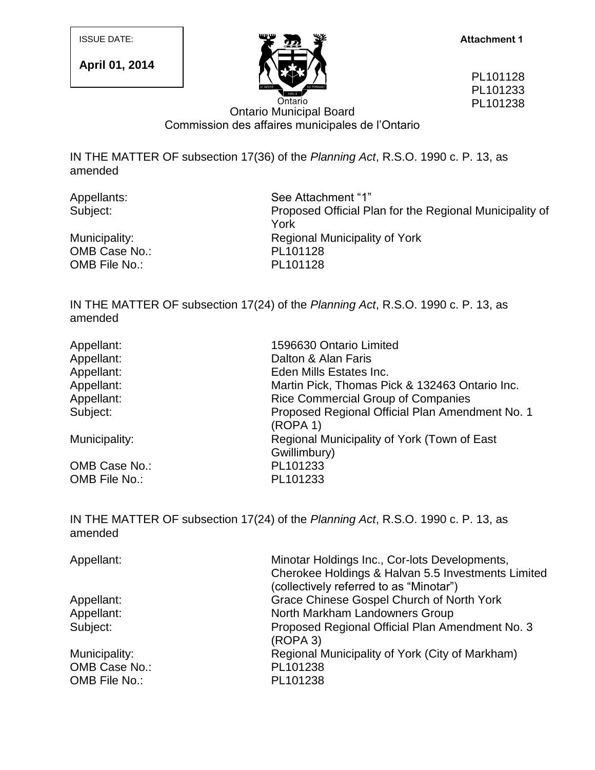**April 01, 2014**



PL101128 PL101233 PL101238

## Ontario Municipal Board Commission des affaires municipales de l'Ontario

IN THE MATTER OF subsection 17(36) of the *Planning Act*, R.S.O. 1990 c. P. 13, as amended

OMB Case No.: PL101128 OMB File No.: PL101128

Appellants: See Attachment "1" Subject: Proposed Official Plan for the Regional Municipality of York Municipality: Municipality: Regional Municipality of York

IN THE MATTER OF subsection 17(24) of the *Planning Act*, R.S.O. 1990 c. P. 13, as amended

| Appellant:    | 1596630 Ontario Limited                                     |
|---------------|-------------------------------------------------------------|
| Appellant:    | Dalton & Alan Faris                                         |
| Appellant:    | Eden Mills Estates Inc.                                     |
| Appellant:    | Martin Pick, Thomas Pick & 132463 Ontario Inc.              |
| Appellant:    | <b>Rice Commercial Group of Companies</b>                   |
| Subject:      | Proposed Regional Official Plan Amendment No. 1<br>(ROPA 1) |
| Municipality: | Regional Municipality of York (Town of East                 |
|               | Gwillimbury)                                                |
| OMB Case No.: | PL101233                                                    |
| OMB File No.: | PL101233                                                    |

IN THE MATTER OF subsection 17(24) of the *Planning Act*, R.S.O. 1990 c. P. 13, as amended

| Appellant:    | Minotar Holdings Inc., Cor-lots Developments,<br>Cherokee Holdings & Halvan 5.5 Investments Limited<br>(collectively referred to as "Minotar") |
|---------------|------------------------------------------------------------------------------------------------------------------------------------------------|
| Appellant:    | Grace Chinese Gospel Church of North York                                                                                                      |
| Appellant:    | North Markham Landowners Group                                                                                                                 |
| Subject:      | Proposed Regional Official Plan Amendment No. 3<br>(ROPA 3)                                                                                    |
| Municipality: | Regional Municipality of York (City of Markham)                                                                                                |
| OMB Case No.: | PL101238                                                                                                                                       |
| OMB File No.: | PL101238                                                                                                                                       |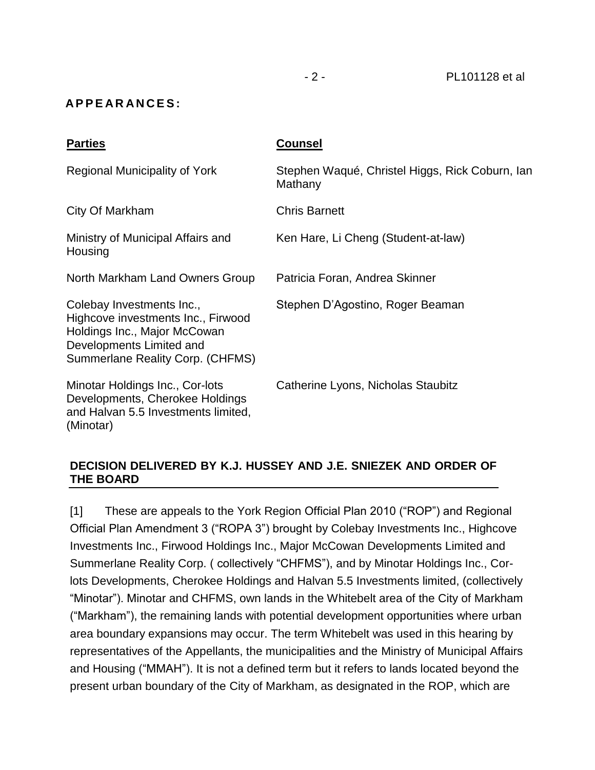#### **A P P E A R A N C E S :**

| <b>Parties</b>                                                                                                                                                  | <b>Counsel</b>                                             |
|-----------------------------------------------------------------------------------------------------------------------------------------------------------------|------------------------------------------------------------|
| Regional Municipality of York                                                                                                                                   | Stephen Waqué, Christel Higgs, Rick Coburn, Ian<br>Mathany |
| City Of Markham                                                                                                                                                 | <b>Chris Barnett</b>                                       |
| Ministry of Municipal Affairs and<br>Housing                                                                                                                    | Ken Hare, Li Cheng (Student-at-law)                        |
| North Markham Land Owners Group                                                                                                                                 | Patricia Foran, Andrea Skinner                             |
| Colebay Investments Inc.,<br>Highcove investments Inc., Firwood<br>Holdings Inc., Major McCowan<br>Developments Limited and<br>Summerlane Reality Corp. (CHFMS) | Stephen D'Agostino, Roger Beaman                           |
| Minotar Holdings Inc., Cor-lots<br>Developments, Cherokee Holdings<br>and Halvan 5.5 Investments limited,<br>(Minotar)                                          | Catherine Lyons, Nicholas Staubitz                         |

#### **DECISION DELIVERED BY K.J. HUSSEY AND J.E. SNIEZEK AND ORDER OF THE BOARD**

[1] These are appeals to the York Region Official Plan 2010 ("ROP") and Regional Official Plan Amendment 3 ("ROPA 3") brought by Colebay Investments Inc., Highcove Investments Inc., Firwood Holdings Inc., Major McCowan Developments Limited and Summerlane Reality Corp. ( collectively "CHFMS"), and by Minotar Holdings Inc., Corlots Developments, Cherokee Holdings and Halvan 5.5 Investments limited, (collectively "Minotar"). Minotar and CHFMS, own lands in the Whitebelt area of the City of Markham ("Markham"), the remaining lands with potential development opportunities where urban area boundary expansions may occur. The term Whitebelt was used in this hearing by representatives of the Appellants, the municipalities and the Ministry of Municipal Affairs and Housing ("MMAH"). It is not a defined term but it refers to lands located beyond the present urban boundary of the City of Markham, as designated in the ROP, which are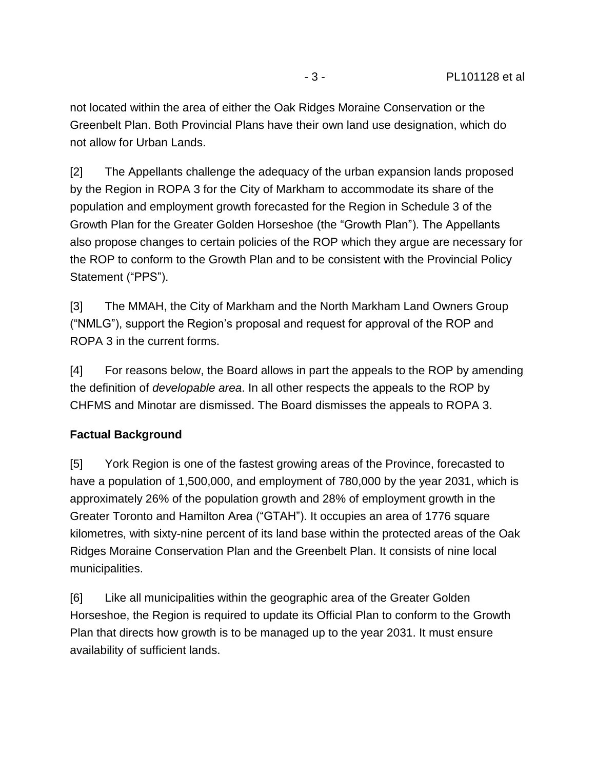not located within the area of either the Oak Ridges Moraine Conservation or the Greenbelt Plan. Both Provincial Plans have their own land use designation, which do not allow for Urban Lands.

[2] The Appellants challenge the adequacy of the urban expansion lands proposed by the Region in ROPA 3 for the City of Markham to accommodate its share of the population and employment growth forecasted for the Region in Schedule 3 of the Growth Plan for the Greater Golden Horseshoe (the "Growth Plan"). The Appellants also propose changes to certain policies of the ROP which they argue are necessary for the ROP to conform to the Growth Plan and to be consistent with the Provincial Policy Statement ("PPS").

[3] The MMAH, the City of Markham and the North Markham Land Owners Group ("NMLG"), support the Region's proposal and request for approval of the ROP and ROPA 3 in the current forms.

[4] For reasons below, the Board allows in part the appeals to the ROP by amending the definition of *developable area*. In all other respects the appeals to the ROP by CHFMS and Minotar are dismissed. The Board dismisses the appeals to ROPA 3.

#### **Factual Background**

[5] York Region is one of the fastest growing areas of the Province, forecasted to have a population of 1,500,000, and employment of 780,000 by the year 2031, which is approximately 26% of the population growth and 28% of employment growth in the Greater Toronto and Hamilton Area ("GTAH"). It occupies an area of 1776 square kilometres, with sixty-nine percent of its land base within the protected areas of the Oak Ridges Moraine Conservation Plan and the Greenbelt Plan. It consists of nine local municipalities.

[6] Like all municipalities within the geographic area of the Greater Golden Horseshoe, the Region is required to update its Official Plan to conform to the Growth Plan that directs how growth is to be managed up to the year 2031. It must ensure availability of sufficient lands.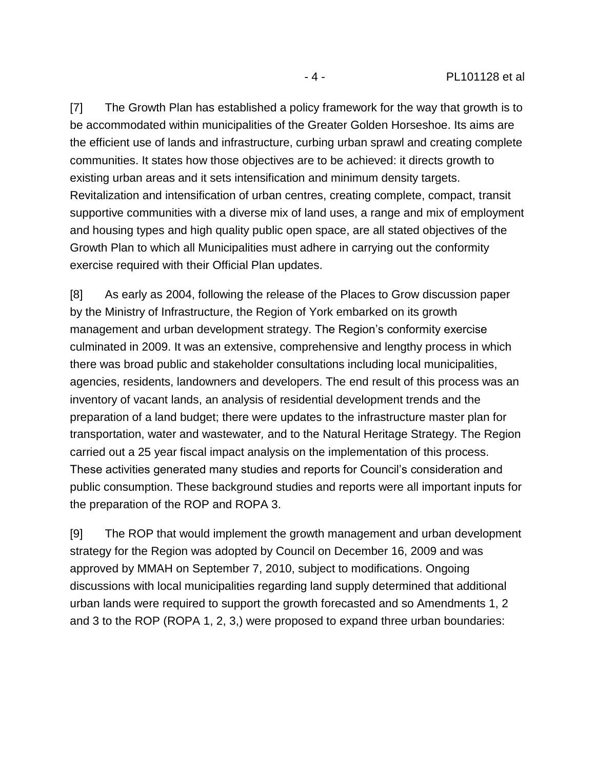[7] The Growth Plan has established a policy framework for the way that growth is to be accommodated within municipalities of the Greater Golden Horseshoe. Its aims are the efficient use of lands and infrastructure, curbing urban sprawl and creating complete communities. It states how those objectives are to be achieved: it directs growth to existing urban areas and it sets intensification and minimum density targets. Revitalization and intensification of urban centres, creating complete, compact, transit supportive communities with a diverse mix of land uses, a range and mix of employment and housing types and high quality public open space, are all stated objectives of the Growth Plan to which all Municipalities must adhere in carrying out the conformity exercise required with their Official Plan updates.

[8] As early as 2004, following the release of the Places to Grow discussion paper by the Ministry of Infrastructure, the Region of York embarked on its growth management and urban development strategy. The Region's conformity exercise culminated in 2009. It was an extensive, comprehensive and lengthy process in which there was broad public and stakeholder consultations including local municipalities, agencies, residents, landowners and developers. The end result of this process was an inventory of vacant lands, an analysis of residential development trends and the preparation of a land budget; there were updates to the infrastructure master plan for transportation, water and wastewater*,* and to the Natural Heritage Strategy. The Region carried out a 25 year fiscal impact analysis on the implementation of this process. These activities generated many studies and reports for Council's consideration and public consumption. These background studies and reports were all important inputs for the preparation of the ROP and ROPA 3.

[9] The ROP that would implement the growth management and urban development strategy for the Region was adopted by Council on December 16, 2009 and was approved by MMAH on September 7, 2010, subject to modifications. Ongoing discussions with local municipalities regarding land supply determined that additional urban lands were required to support the growth forecasted and so Amendments 1, 2 and 3 to the ROP (ROPA 1, 2, 3,) were proposed to expand three urban boundaries: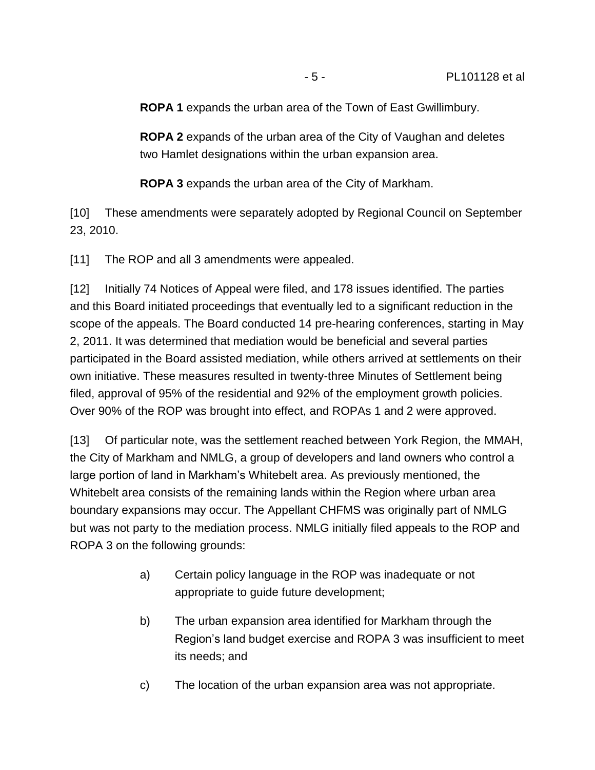**ROPA 1** expands the urban area of the Town of East Gwillimbury.

**ROPA 2** expands of the urban area of the City of Vaughan and deletes two Hamlet designations within the urban expansion area.

**ROPA 3** expands the urban area of the City of Markham.

[10] These amendments were separately adopted by Regional Council on September 23, 2010.

[11] The ROP and all 3 amendments were appealed.

[12] Initially 74 Notices of Appeal were filed, and 178 issues identified. The parties and this Board initiated proceedings that eventually led to a significant reduction in the scope of the appeals. The Board conducted 14 pre-hearing conferences, starting in May 2, 2011. It was determined that mediation would be beneficial and several parties participated in the Board assisted mediation, while others arrived at settlements on their own initiative. These measures resulted in twenty-three Minutes of Settlement being filed, approval of 95% of the residential and 92% of the employment growth policies. Over 90% of the ROP was brought into effect, and ROPAs 1 and 2 were approved.

[13] Of particular note, was the settlement reached between York Region, the MMAH, the City of Markham and NMLG, a group of developers and land owners who control a large portion of land in Markham's Whitebelt area. As previously mentioned, the Whitebelt area consists of the remaining lands within the Region where urban area boundary expansions may occur. The Appellant CHFMS was originally part of NMLG but was not party to the mediation process. NMLG initially filed appeals to the ROP and ROPA 3 on the following grounds:

- a) Certain policy language in the ROP was inadequate or not appropriate to guide future development;
- b) The urban expansion area identified for Markham through the Region's land budget exercise and ROPA 3 was insufficient to meet its needs; and
- c) The location of the urban expansion area was not appropriate.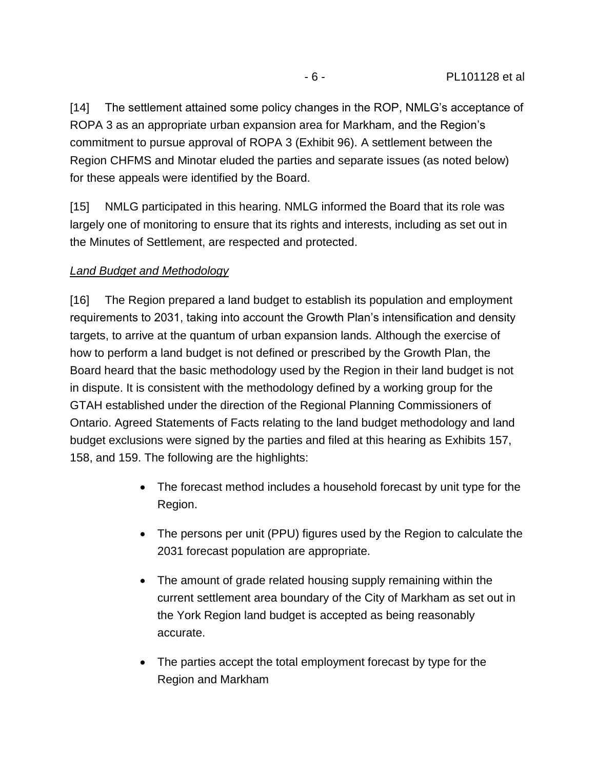[14] The settlement attained some policy changes in the ROP, NMLG's acceptance of ROPA 3 as an appropriate urban expansion area for Markham, and the Region's commitment to pursue approval of ROPA 3 (Exhibit 96). A settlement between the Region CHFMS and Minotar eluded the parties and separate issues (as noted below) for these appeals were identified by the Board.

[15] NMLG participated in this hearing. NMLG informed the Board that its role was largely one of monitoring to ensure that its rights and interests, including as set out in the Minutes of Settlement, are respected and protected.

## *Land Budget and Methodology*

[16] The Region prepared a land budget to establish its population and employment requirements to 2031, taking into account the Growth Plan's intensification and density targets, to arrive at the quantum of urban expansion lands. Although the exercise of how to perform a land budget is not defined or prescribed by the Growth Plan, the Board heard that the basic methodology used by the Region in their land budget is not in dispute. It is consistent with the methodology defined by a working group for the GTAH established under the direction of the Regional Planning Commissioners of Ontario. Agreed Statements of Facts relating to the land budget methodology and land budget exclusions were signed by the parties and filed at this hearing as Exhibits 157, 158, and 159. The following are the highlights:

- The forecast method includes a household forecast by unit type for the Region.
- The persons per unit (PPU) figures used by the Region to calculate the 2031 forecast population are appropriate.
- The amount of grade related housing supply remaining within the current settlement area boundary of the City of Markham as set out in the York Region land budget is accepted as being reasonably accurate.
- The parties accept the total employment forecast by type for the Region and Markham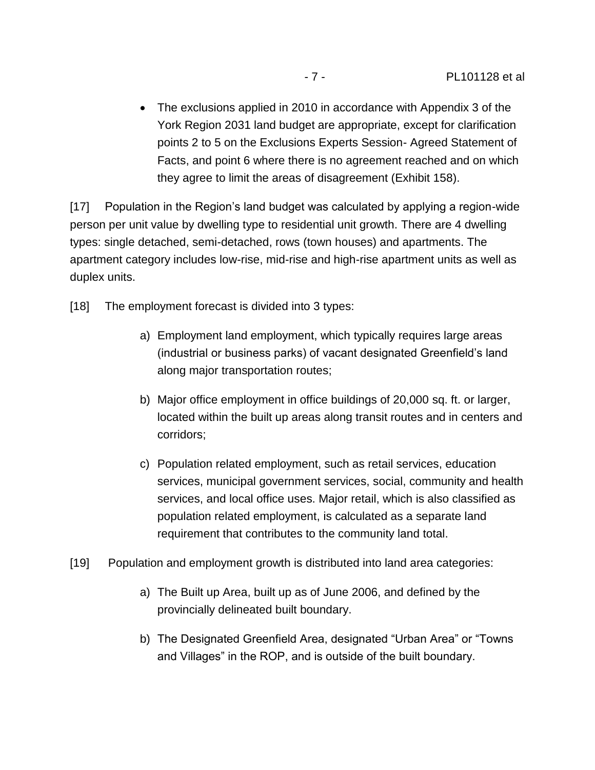The exclusions applied in 2010 in accordance with Appendix 3 of the York Region 2031 land budget are appropriate, except for clarification points 2 to 5 on the Exclusions Experts Session- Agreed Statement of Facts, and point 6 where there is no agreement reached and on which they agree to limit the areas of disagreement (Exhibit 158).

[17] Population in the Region's land budget was calculated by applying a region-wide person per unit value by dwelling type to residential unit growth. There are 4 dwelling types: single detached, semi-detached, rows (town houses) and apartments. The apartment category includes low-rise, mid-rise and high-rise apartment units as well as duplex units.

[18] The employment forecast is divided into 3 types:

- a) Employment land employment, which typically requires large areas (industrial or business parks) of vacant designated Greenfield's land along major transportation routes;
- b) Major office employment in office buildings of 20,000 sq. ft. or larger, located within the built up areas along transit routes and in centers and corridors;
- c) Population related employment, such as retail services, education services, municipal government services, social, community and health services, and local office uses. Major retail, which is also classified as population related employment, is calculated as a separate land requirement that contributes to the community land total.
- [19] Population and employment growth is distributed into land area categories:
	- a) The Built up Area, built up as of June 2006, and defined by the provincially delineated built boundary.
	- b) The Designated Greenfield Area, designated "Urban Area" or "Towns and Villages" in the ROP, and is outside of the built boundary.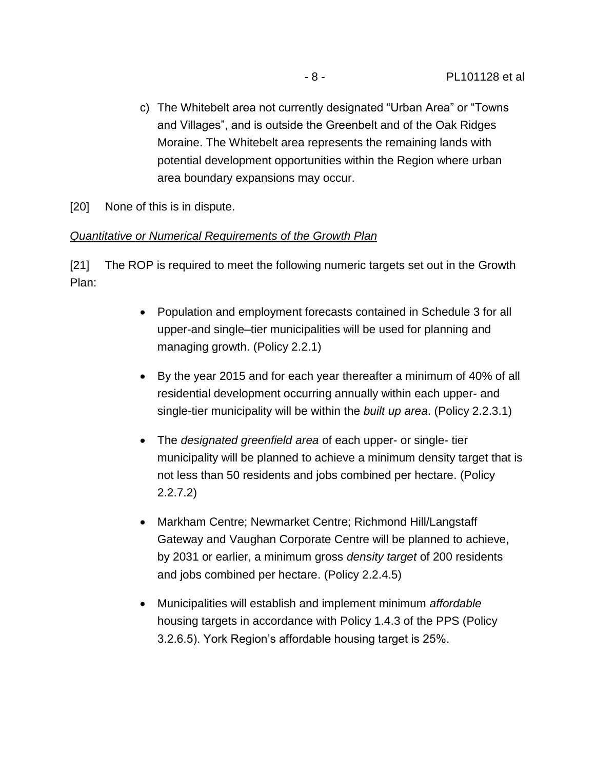c) The Whitebelt area not currently designated "Urban Area" or "Towns and Villages", and is outside the Greenbelt and of the Oak Ridges Moraine. The Whitebelt area represents the remaining lands with potential development opportunities within the Region where urban area boundary expansions may occur.

[20] None of this is in dispute.

#### *Quantitative or Numerical Requirements of the Growth Plan*

[21] The ROP is required to meet the following numeric targets set out in the Growth Plan:

- Population and employment forecasts contained in Schedule 3 for all upper-and single–tier municipalities will be used for planning and managing growth. (Policy 2.2.1)
- By the year 2015 and for each year thereafter a minimum of 40% of all residential development occurring annually within each upper- and single-tier municipality will be within the *built up area*. (Policy 2.2.3.1)
- The *designated greenfield area* of each upper- or single- tier municipality will be planned to achieve a minimum density target that is not less than 50 residents and jobs combined per hectare. (Policy 2.2.7.2)
- Markham Centre; Newmarket Centre; Richmond Hill/Langstaff Gateway and Vaughan Corporate Centre will be planned to achieve, by 2031 or earlier, a minimum gross *density target* of 200 residents and jobs combined per hectare. (Policy 2.2.4.5)
- Municipalities will establish and implement minimum *affordable* housing targets in accordance with Policy 1.4.3 of the PPS (Policy 3.2.6.5). York Region's affordable housing target is 25%.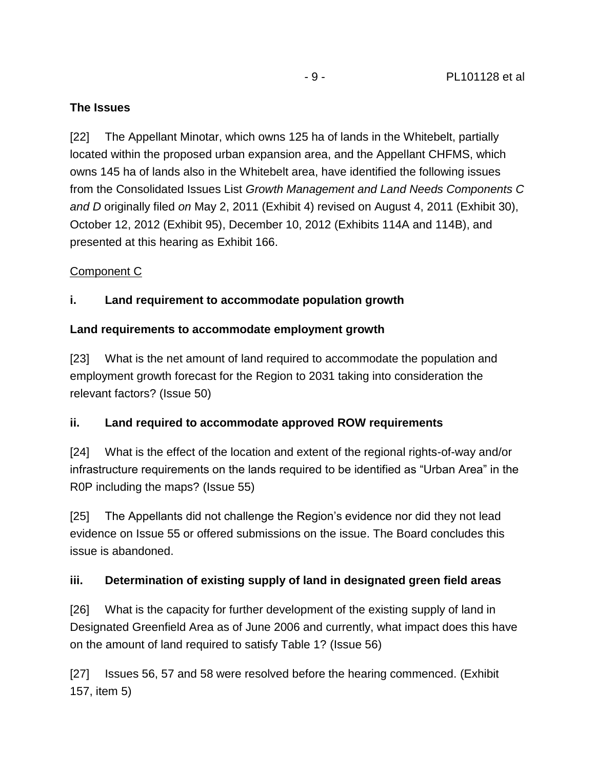#### **The Issues**

[22] The Appellant Minotar, which owns 125 ha of lands in the Whitebelt, partially located within the proposed urban expansion area, and the Appellant CHFMS, which owns 145 ha of lands also in the Whitebelt area, have identified the following issues from the Consolidated Issues List *Growth Management and Land Needs Components C and D* originally filed *on* May 2, 2011 (Exhibit 4) revised on August 4, 2011 (Exhibit 30), October 12, 2012 (Exhibit 95), December 10, 2012 (Exhibits 114A and 114B), and presented at this hearing as Exhibit 166.

#### Component C

## **i. Land requirement to accommodate population growth**

## **Land requirements to accommodate employment growth**

[23] What is the net amount of land required to accommodate the population and employment growth forecast for the Region to 2031 taking into consideration the relevant factors? (Issue 50)

## **ii. Land required to accommodate approved ROW requirements**

[24] What is the effect of the location and extent of the regional rights-of-way and/or infrastructure requirements on the lands required to be identified as "Urban Area" in the R0P including the maps? (Issue 55)

[25] The Appellants did not challenge the Region's evidence nor did they not lead evidence on Issue 55 or offered submissions on the issue. The Board concludes this issue is abandoned.

## **iii. Determination of existing supply of land in designated green field areas**

[26] What is the capacity for further development of the existing supply of land in Designated Greenfield Area as of June 2006 and currently, what impact does this have on the amount of land required to satisfy Table 1? (Issue 56)

[27] Issues 56, 57 and 58 were resolved before the hearing commenced. (Exhibit 157, item 5)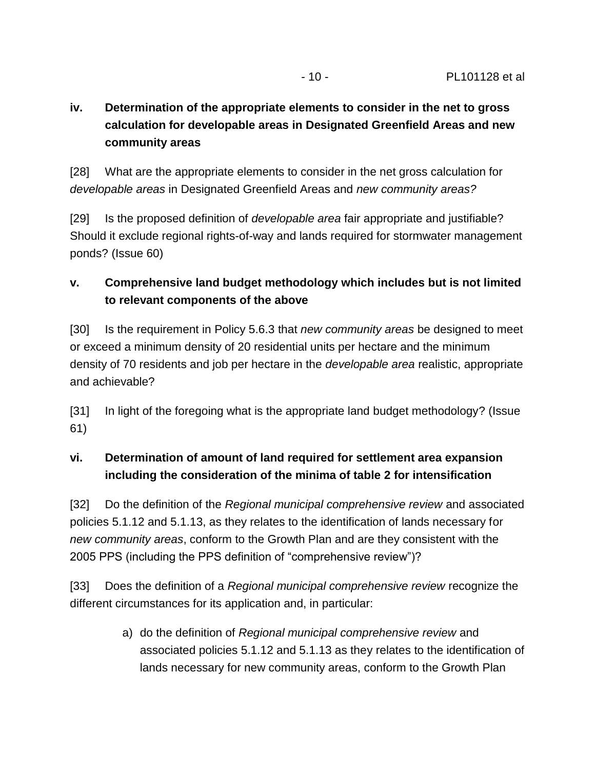## **iv. Determination of the appropriate elements to consider in the net to gross calculation for developable areas in Designated Greenfield Areas and new community areas**

[28] What are the appropriate elements to consider in the net gross calculation for *developable areas* in Designated Greenfield Areas and *new community areas?*

[29] Is the proposed definition of *developable area* fair appropriate and justifiable? Should it exclude regional rights-of-way and lands required for stormwater management ponds? (Issue 60)

## **v. Comprehensive land budget methodology which includes but is not limited to relevant components of the above**

[30] Is the requirement in Policy 5.6.3 that *new community areas* be designed to meet or exceed a minimum density of 20 residential units per hectare and the minimum density of 70 residents and job per hectare in the *developable area* realistic, appropriate and achievable?

[31] In light of the foregoing what is the appropriate land budget methodology? (Issue 61)

## **vi. Determination of amount of land required for settlement area expansion including the consideration of the minima of table 2 for intensification**

[32] Do the definition of the *Regional municipal comprehensive review* and associated policies 5.1.12 and 5.1.13, as they relates to the identification of lands necessary for *new community areas*, conform to the Growth Plan and are they consistent with the 2005 PPS (including the PPS definition of "comprehensive review")?

[33] Does the definition of a *Regional municipal comprehensive review* recognize the different circumstances for its application and, in particular:

> a) do the definition of *Regional municipal comprehensive review* and associated policies 5.1.12 and 5.1.13 as they relates to the identification of lands necessary for new community areas, conform to the Growth Plan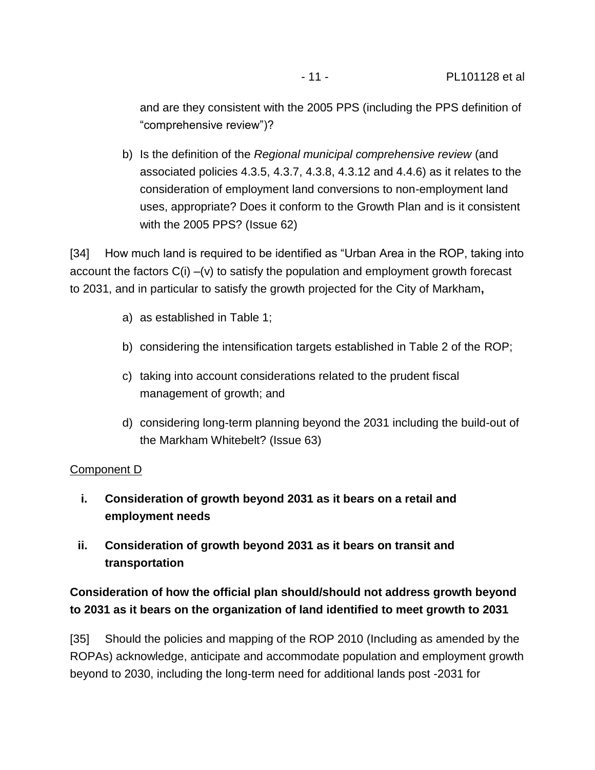and are they consistent with the 2005 PPS (including the PPS definition of "comprehensive review")?

b) Is the definition of the *Regional municipal comprehensive review* (and associated policies 4.3.5, 4.3.7, 4.3.8, 4.3.12 and 4.4.6) as it relates to the consideration of employment land conversions to non-employment land uses, appropriate? Does it conform to the Growth Plan and is it consistent with the 2005 PPS? (Issue 62)

[34] How much land is required to be identified as "Urban Area in the ROP, taking into account the factors C(i) –(v) to satisfy the population and employment growth forecast to 2031, and in particular to satisfy the growth projected for the City of Markham**,**

- a) as established in Table 1;
- b) considering the intensification targets established in Table 2 of the ROP;
- c) taking into account considerations related to the prudent fiscal management of growth; and
- d) considering long-term planning beyond the 2031 including the build-out of the Markham Whitebelt? (Issue 63)

## Component D

- **i. Consideration of growth beyond 2031 as it bears on a retail and employment needs**
- **ii. Consideration of growth beyond 2031 as it bears on transit and transportation**

## **Consideration of how the official plan should/should not address growth beyond to 2031 as it bears on the organization of land identified to meet growth to 2031**

[35] Should the policies and mapping of the ROP 2010 (Including as amended by the ROPAs) acknowledge, anticipate and accommodate population and employment growth beyond to 2030, including the long-term need for additional lands post -2031 for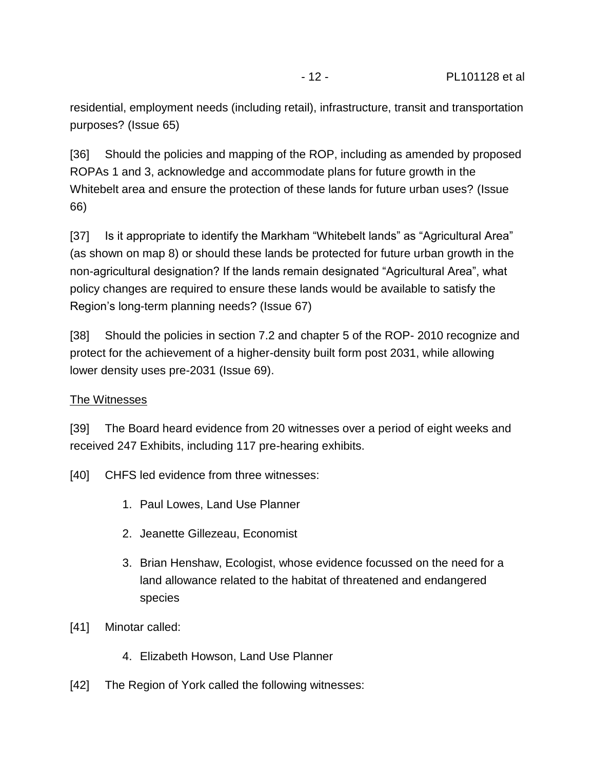residential, employment needs (including retail), infrastructure, transit and transportation purposes? (Issue 65)

[36] Should the policies and mapping of the ROP, including as amended by proposed ROPAs 1 and 3, acknowledge and accommodate plans for future growth in the Whitebelt area and ensure the protection of these lands for future urban uses? (Issue 66)

[37] Is it appropriate to identify the Markham "Whitebelt lands" as "Agricultural Area" (as shown on map 8) or should these lands be protected for future urban growth in the non-agricultural designation? If the lands remain designated "Agricultural Area", what policy changes are required to ensure these lands would be available to satisfy the Region's long-term planning needs? (Issue 67)

[38] Should the policies in section 7.2 and chapter 5 of the ROP- 2010 recognize and protect for the achievement of a higher-density built form post 2031, while allowing lower density uses pre-2031 (Issue 69).

#### The Witnesses

[39] The Board heard evidence from 20 witnesses over a period of eight weeks and received 247 Exhibits, including 117 pre-hearing exhibits.

- [40] CHFS led evidence from three witnesses:
	- 1. Paul Lowes, Land Use Planner
	- 2. Jeanette Gillezeau, Economist
	- 3. Brian Henshaw, Ecologist, whose evidence focussed on the need for a land allowance related to the habitat of threatened and endangered species
- [41] Minotar called:
	- 4. Elizabeth Howson, Land Use Planner
- [42] The Region of York called the following witnesses: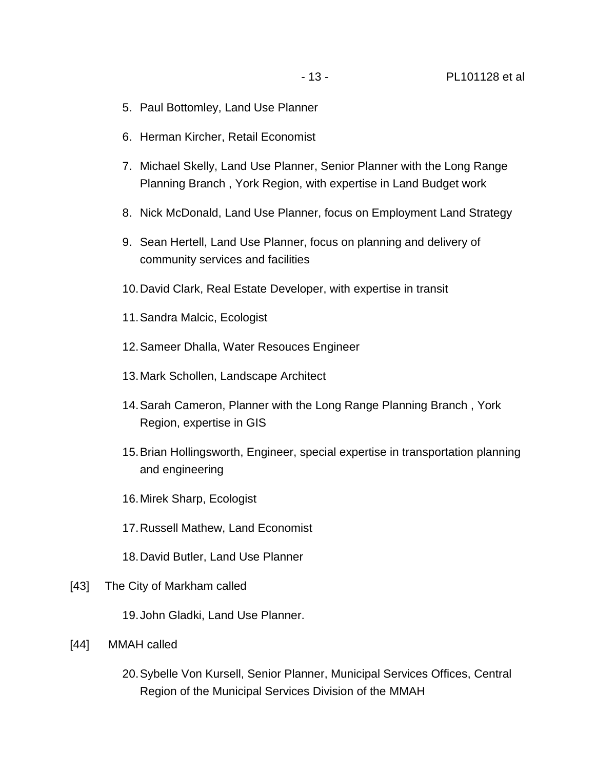- 5. Paul Bottomley, Land Use Planner
- 6. Herman Kircher, Retail Economist
- 7. Michael Skelly, Land Use Planner, Senior Planner with the Long Range Planning Branch , York Region, with expertise in Land Budget work
- 8. Nick McDonald, Land Use Planner, focus on Employment Land Strategy
- 9. Sean Hertell, Land Use Planner, focus on planning and delivery of community services and facilities
- 10.David Clark, Real Estate Developer, with expertise in transit
- 11.Sandra Malcic, Ecologist
- 12.Sameer Dhalla, Water Resouces Engineer
- 13.Mark Schollen, Landscape Architect
- 14.Sarah Cameron, Planner with the Long Range Planning Branch , York Region, expertise in GIS
- 15.Brian Hollingsworth, Engineer, special expertise in transportation planning and engineering
- 16.Mirek Sharp, Ecologist
- 17.Russell Mathew, Land Economist
- 18.David Butler, Land Use Planner
- [43] The City of Markham called
	- 19.John Gladki, Land Use Planner.
- [44] MMAH called
	- 20.Sybelle Von Kursell, Senior Planner, Municipal Services Offices, Central Region of the Municipal Services Division of the MMAH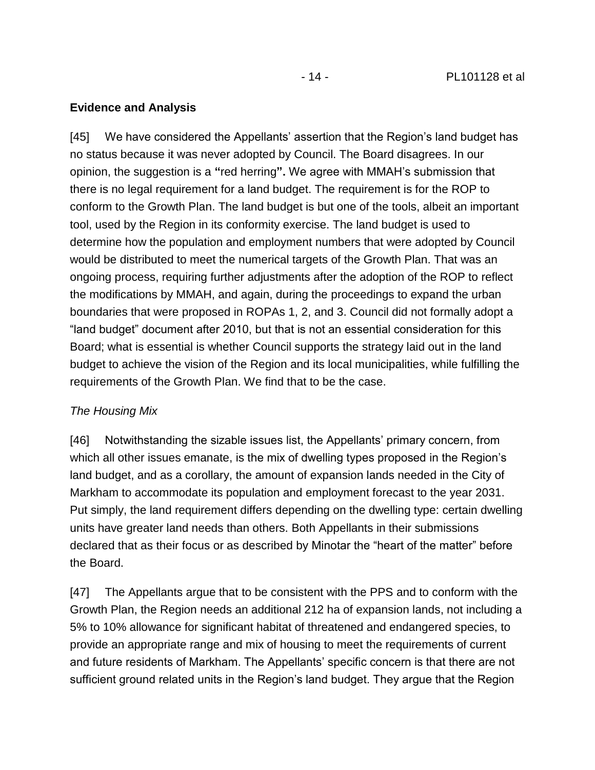#### **Evidence and Analysis**

[45] We have considered the Appellants' assertion that the Region's land budget has no status because it was never adopted by Council. The Board disagrees. In our opinion, the suggestion is a **"**red herring**".** We agree with MMAH's submission that there is no legal requirement for a land budget. The requirement is for the ROP to conform to the Growth Plan. The land budget is but one of the tools, albeit an important tool, used by the Region in its conformity exercise. The land budget is used to determine how the population and employment numbers that were adopted by Council would be distributed to meet the numerical targets of the Growth Plan. That was an ongoing process, requiring further adjustments after the adoption of the ROP to reflect the modifications by MMAH, and again, during the proceedings to expand the urban boundaries that were proposed in ROPAs 1, 2, and 3. Council did not formally adopt a "land budget" document after 2010, but that is not an essential consideration for this Board; what is essential is whether Council supports the strategy laid out in the land budget to achieve the vision of the Region and its local municipalities, while fulfilling the requirements of the Growth Plan. We find that to be the case.

## *The Housing Mix*

[46] Notwithstanding the sizable issues list, the Appellants' primary concern, from which all other issues emanate, is the mix of dwelling types proposed in the Region's land budget, and as a corollary, the amount of expansion lands needed in the City of Markham to accommodate its population and employment forecast to the year 2031. Put simply, the land requirement differs depending on the dwelling type: certain dwelling units have greater land needs than others. Both Appellants in their submissions declared that as their focus or as described by Minotar the "heart of the matter" before the Board.

[47] The Appellants argue that to be consistent with the PPS and to conform with the Growth Plan, the Region needs an additional 212 ha of expansion lands, not including a 5% to 10% allowance for significant habitat of threatened and endangered species, to provide an appropriate range and mix of housing to meet the requirements of current and future residents of Markham. The Appellants' specific concern is that there are not sufficient ground related units in the Region's land budget. They argue that the Region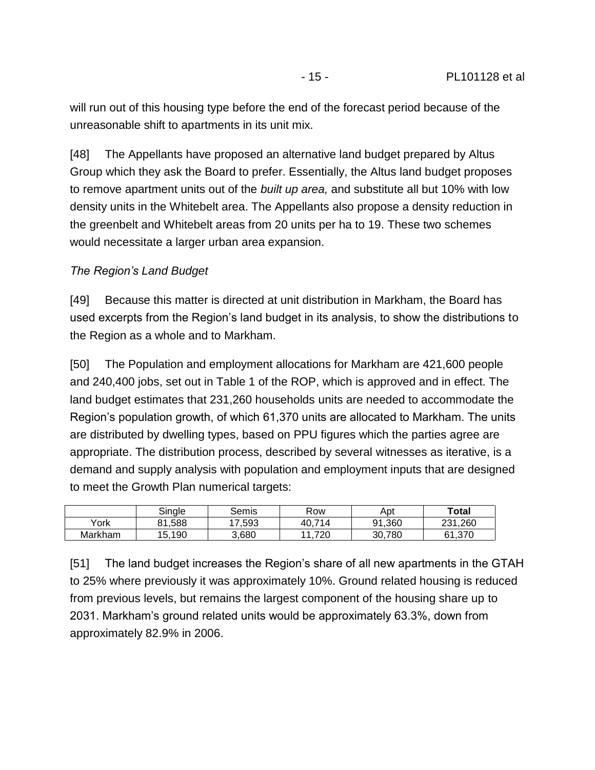will run out of this housing type before the end of the forecast period because of the unreasonable shift to apartments in its unit mix.

[48] The Appellants have proposed an alternative land budget prepared by Altus Group which they ask the Board to prefer. Essentially, the Altus land budget proposes to remove apartment units out of the *built up area,* and substitute all but 10% with low density units in the Whitebelt area. The Appellants also propose a density reduction in the greenbelt and Whitebelt areas from 20 units per ha to 19. These two schemes would necessitate a larger urban area expansion.

#### *The Region's Land Budget*

[49] Because this matter is directed at unit distribution in Markham, the Board has used excerpts from the Region's land budget in its analysis, to show the distributions to the Region as a whole and to Markham.

[50] The Population and employment allocations for Markham are 421,600 people and 240,400 jobs, set out in Table 1 of the ROP, which is approved and in effect. The land budget estimates that 231,260 households units are needed to accommodate the Region's population growth, of which 61,370 units are allocated to Markham. The units are distributed by dwelling types, based on PPU figures which the parties agree are appropriate. The distribution process, described by several witnesses as iterative, is a demand and supply analysis with population and employment inputs that are designed to meet the Growth Plan numerical targets:

|         | Single     | Semis      | Row          | Apt    | <b>Total</b>      |
|---------|------------|------------|--------------|--------|-------------------|
| York    | .588<br>81 | .593<br>47 | .714<br>40.7 | 91,360 | .260<br>つつ1<br>دے |
| Markham | 15,190     | 3,680      | .720         | 30,780 | 370, ا<br>61      |

[51] The land budget increases the Region's share of all new apartments in the GTAH to 25% where previously it was approximately 10%. Ground related housing is reduced from previous levels, but remains the largest component of the housing share up to 2031. Markham's ground related units would be approximately 63.3%, down from approximately 82.9% in 2006.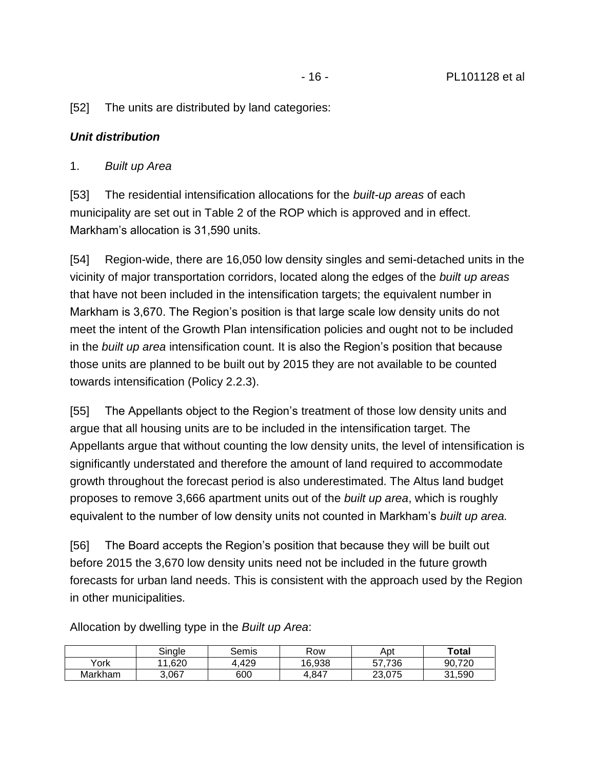[52] The units are distributed by land categories:

#### *Unit distribution*

#### 1. *Built up Area*

[53] The residential intensification allocations for the *built-up areas* of each municipality are set out in Table 2 of the ROP which is approved and in effect. Markham's allocation is 31,590 units.

[54] Region-wide, there are 16,050 low density singles and semi-detached units in the vicinity of major transportation corridors, located along the edges of the *built up areas* that have not been included in the intensification targets; the equivalent number in Markham is 3,670. The Region's position is that large scale low density units do not meet the intent of the Growth Plan intensification policies and ought not to be included in the *built up area* intensification count. It is also the Region's position that because those units are planned to be built out by 2015 they are not available to be counted towards intensification (Policy 2.2.3).

[55] The Appellants object to the Region's treatment of those low density units and argue that all housing units are to be included in the intensification target. The Appellants argue that without counting the low density units, the level of intensification is significantly understated and therefore the amount of land required to accommodate growth throughout the forecast period is also underestimated. The Altus land budget proposes to remove 3,666 apartment units out of the *built up area*, which is roughly equivalent to the number of low density units not counted in Markham's *built up area.*

[56] The Board accepts the Region's position that because they will be built out before 2015 the 3,670 low density units need not be included in the future growth forecasts for urban land needs. This is consistent with the approach used by the Region in other municipalities.

|         | Single | Semis | Row    | Apt    | Total  |
|---------|--------|-------|--------|--------|--------|
| York    | 11,620 | .429  | 16.938 | 57.736 | 90,720 |
| Markham | 3.067  | 600   | .847   | 23.075 | 31,590 |

Allocation by dwelling type in the *Built up Area*: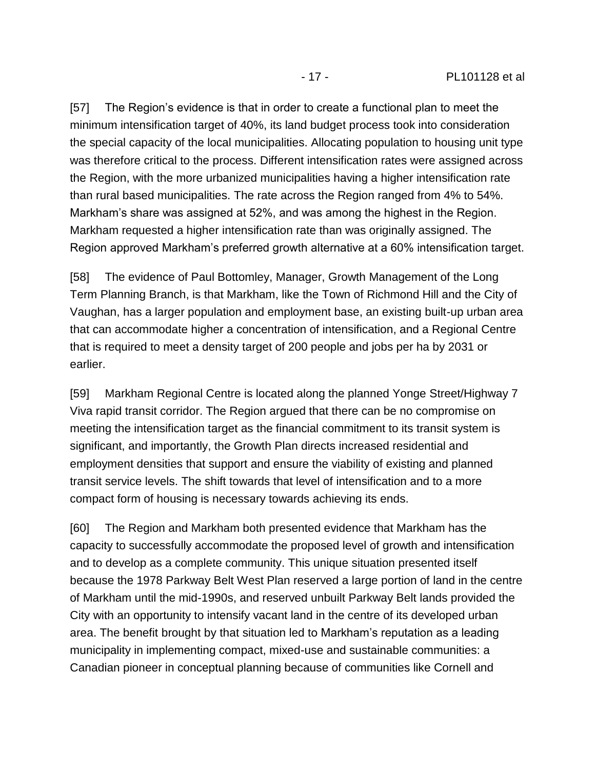[57] The Region's evidence is that in order to create a functional plan to meet the minimum intensification target of 40%, its land budget process took into consideration the special capacity of the local municipalities. Allocating population to housing unit type was therefore critical to the process. Different intensification rates were assigned across the Region, with the more urbanized municipalities having a higher intensification rate than rural based municipalities. The rate across the Region ranged from 4% to 54%. Markham's share was assigned at 52%, and was among the highest in the Region. Markham requested a higher intensification rate than was originally assigned. The Region approved Markham's preferred growth alternative at a 60% intensification target.

[58] The evidence of Paul Bottomley, Manager, Growth Management of the Long Term Planning Branch, is that Markham, like the Town of Richmond Hill and the City of Vaughan, has a larger population and employment base, an existing built-up urban area that can accommodate higher a concentration of intensification, and a Regional Centre that is required to meet a density target of 200 people and jobs per ha by 2031 or earlier.

[59] Markham Regional Centre is located along the planned Yonge Street/Highway 7 Viva rapid transit corridor. The Region argued that there can be no compromise on meeting the intensification target as the financial commitment to its transit system is significant, and importantly, the Growth Plan directs increased residential and employment densities that support and ensure the viability of existing and planned transit service levels. The shift towards that level of intensification and to a more compact form of housing is necessary towards achieving its ends.

[60] The Region and Markham both presented evidence that Markham has the capacity to successfully accommodate the proposed level of growth and intensification and to develop as a complete community. This unique situation presented itself because the 1978 Parkway Belt West Plan reserved a large portion of land in the centre of Markham until the mid-1990s, and reserved unbuilt Parkway Belt lands provided the City with an opportunity to intensify vacant land in the centre of its developed urban area. The benefit brought by that situation led to Markham's reputation as a leading municipality in implementing compact, mixed-use and sustainable communities: a Canadian pioneer in conceptual planning because of communities like Cornell and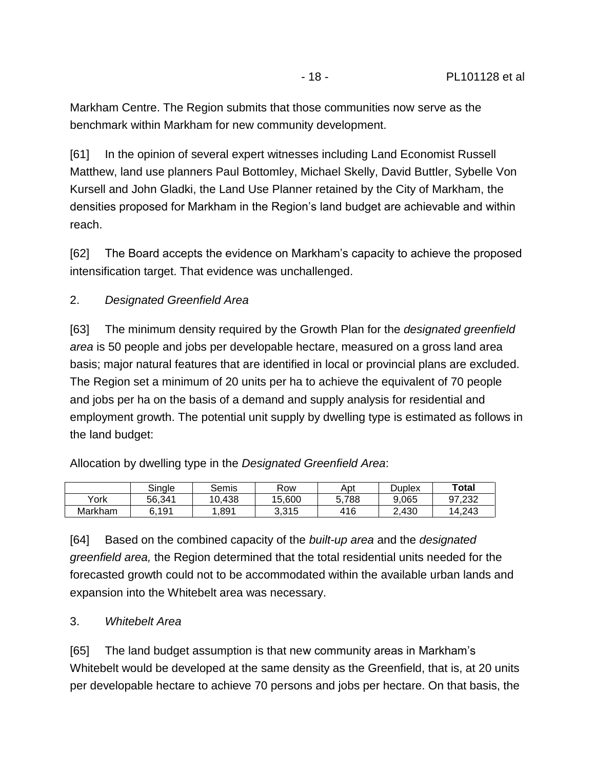Markham Centre. The Region submits that those communities now serve as the benchmark within Markham for new community development.

[61] In the opinion of several expert witnesses including Land Economist Russell Matthew, land use planners Paul Bottomley, Michael Skelly, David Buttler, Sybelle Von Kursell and John Gladki, the Land Use Planner retained by the City of Markham, the densities proposed for Markham in the Region's land budget are achievable and within reach.

[62] The Board accepts the evidence on Markham's capacity to achieve the proposed intensification target. That evidence was unchallenged.

#### 2. *Designated Greenfield Area*

[63] The minimum density required by the Growth Plan for the *designated greenfield area* is 50 people and jobs per developable hectare, measured on a gross land area basis; major natural features that are identified in local or provincial plans are excluded. The Region set a minimum of 20 units per ha to achieve the equivalent of 70 people and jobs per ha on the basis of a demand and supply analysis for residential and employment growth. The potential unit supply by dwelling type is estimated as follows in the land budget:

Allocation by dwelling type in the *Designated Greenfield Area*:

|         | Single | Semis  | Row    | Apt   | Duplex | Total  |
|---------|--------|--------|--------|-------|--------|--------|
| York    | 56.341 | 10.438 | 15.600 | 5.788 | 9.065  | 97.232 |
| Markham | 6.191  | .891   | 3,315  | 416   | 2.430  | 14.243 |

[64] Based on the combined capacity of the *built-up area* and the *designated greenfield area,* the Region determined that the total residential units needed for the forecasted growth could not to be accommodated within the available urban lands and expansion into the Whitebelt area was necessary.

#### 3. *Whitebelt Area*

[65] The land budget assumption is that new community areas in Markham's Whitebelt would be developed at the same density as the Greenfield, that is, at 20 units per developable hectare to achieve 70 persons and jobs per hectare. On that basis, the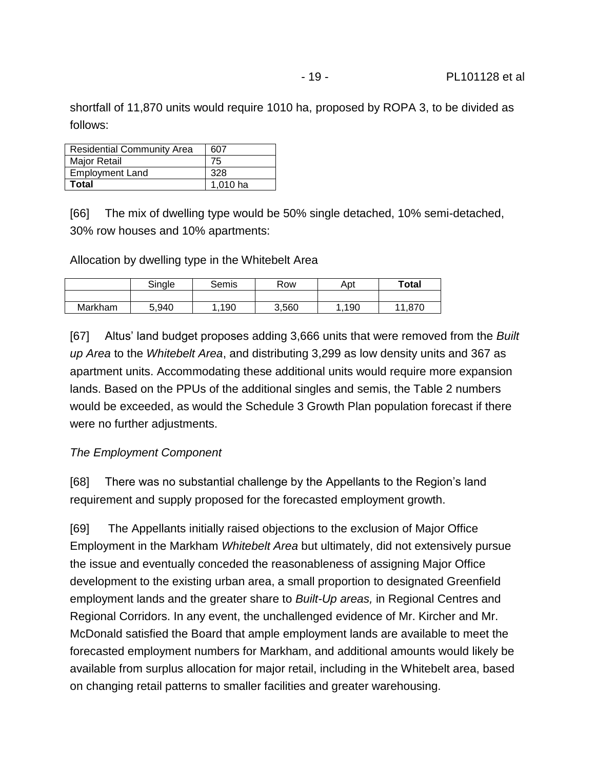shortfall of 11,870 units would require 1010 ha, proposed by ROPA 3, to be divided as follows:

| <b>Residential Community Area</b> | 607      |
|-----------------------------------|----------|
| Major Retail                      | 75       |
| <b>Employment Land</b>            | 328      |
| Total                             | 1,010 ha |

[66] The mix of dwelling type would be 50% single detached, 10% semi-detached, 30% row houses and 10% apartments:

Allocation by dwelling type in the Whitebelt Area

|         | Single | Semis | Row   | Apt  | <b>Total</b> |
|---------|--------|-------|-------|------|--------------|
|         |        |       |       |      |              |
| Markham | 5,940  | ,190  | 3,560 | ,190 | 11,870       |

[67] Altus' land budget proposes adding 3,666 units that were removed from the *Built up Area* to the *Whitebelt Area*, and distributing 3,299 as low density units and 367 as apartment units. Accommodating these additional units would require more expansion lands. Based on the PPUs of the additional singles and semis, the Table 2 numbers would be exceeded, as would the Schedule 3 Growth Plan population forecast if there were no further adjustments.

#### *The Employment Component*

[68] There was no substantial challenge by the Appellants to the Region's land requirement and supply proposed for the forecasted employment growth.

[69] The Appellants initially raised objections to the exclusion of Major Office Employment in the Markham *Whitebelt Area* but ultimately, did not extensively pursue the issue and eventually conceded the reasonableness of assigning Major Office development to the existing urban area, a small proportion to designated Greenfield employment lands and the greater share to *Built-Up areas,* in Regional Centres and Regional Corridors. In any event, the unchallenged evidence of Mr. Kircher and Mr. McDonald satisfied the Board that ample employment lands are available to meet the forecasted employment numbers for Markham, and additional amounts would likely be available from surplus allocation for major retail, including in the Whitebelt area, based on changing retail patterns to smaller facilities and greater warehousing.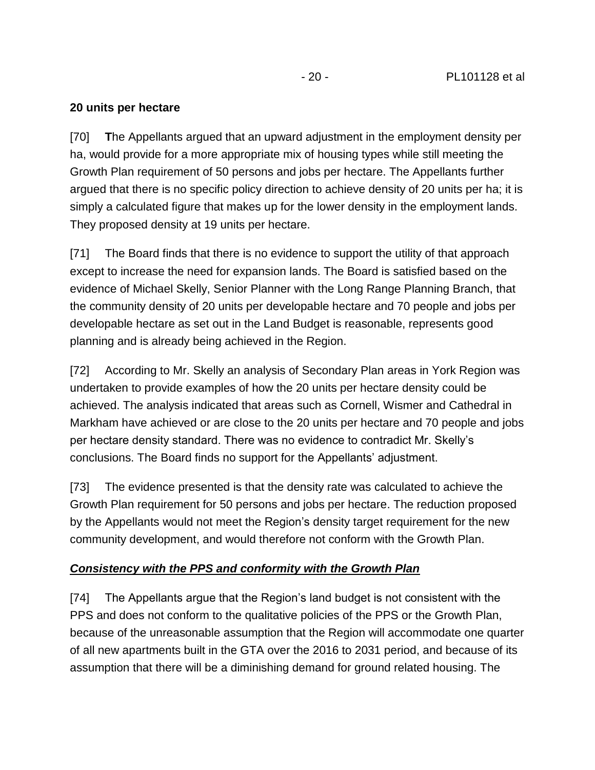- 20 - PL101128 et al

#### **20 units per hectare**

[70] **T**he Appellants argued that an upward adjustment in the employment density per ha, would provide for a more appropriate mix of housing types while still meeting the Growth Plan requirement of 50 persons and jobs per hectare. The Appellants further argued that there is no specific policy direction to achieve density of 20 units per ha; it is simply a calculated figure that makes up for the lower density in the employment lands. They proposed density at 19 units per hectare.

[71] The Board finds that there is no evidence to support the utility of that approach except to increase the need for expansion lands. The Board is satisfied based on the evidence of Michael Skelly, Senior Planner with the Long Range Planning Branch, that the community density of 20 units per developable hectare and 70 people and jobs per developable hectare as set out in the Land Budget is reasonable, represents good planning and is already being achieved in the Region.

[72] According to Mr. Skelly an analysis of Secondary Plan areas in York Region was undertaken to provide examples of how the 20 units per hectare density could be achieved. The analysis indicated that areas such as Cornell, Wismer and Cathedral in Markham have achieved or are close to the 20 units per hectare and 70 people and jobs per hectare density standard. There was no evidence to contradict Mr. Skelly's conclusions. The Board finds no support for the Appellants' adjustment.

[73] The evidence presented is that the density rate was calculated to achieve the Growth Plan requirement for 50 persons and jobs per hectare. The reduction proposed by the Appellants would not meet the Region's density target requirement for the new community development, and would therefore not conform with the Growth Plan.

#### *Consistency with the PPS and conformity with the Growth Plan*

[74] The Appellants argue that the Region's land budget is not consistent with the PPS and does not conform to the qualitative policies of the PPS or the Growth Plan, because of the unreasonable assumption that the Region will accommodate one quarter of all new apartments built in the GTA over the 2016 to 2031 period, and because of its assumption that there will be a diminishing demand for ground related housing. The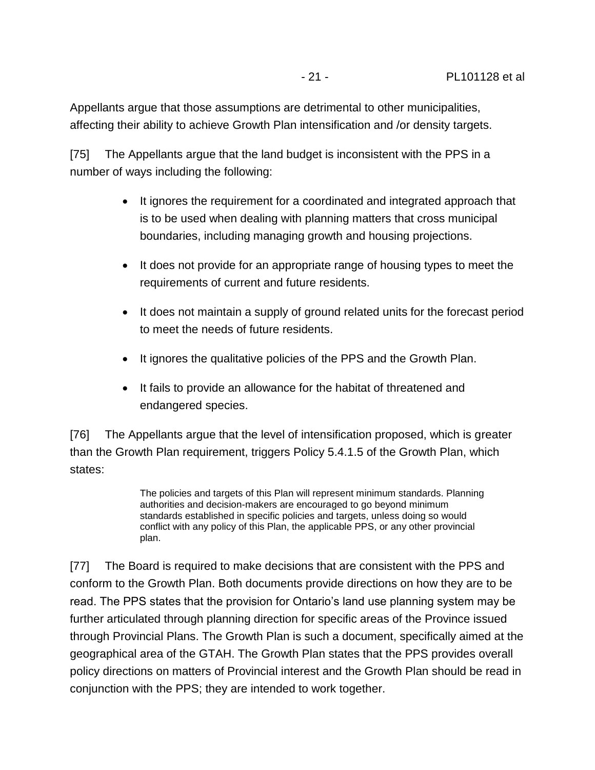Appellants argue that those assumptions are detrimental to other municipalities, affecting their ability to achieve Growth Plan intensification and /or density targets.

[75] The Appellants argue that the land budget is inconsistent with the PPS in a number of ways including the following:

- It ignores the requirement for a coordinated and integrated approach that is to be used when dealing with planning matters that cross municipal boundaries, including managing growth and housing projections.
- It does not provide for an appropriate range of housing types to meet the requirements of current and future residents.
- It does not maintain a supply of ground related units for the forecast period to meet the needs of future residents.
- It ignores the qualitative policies of the PPS and the Growth Plan.
- It fails to provide an allowance for the habitat of threatened and endangered species.

[76] The Appellants argue that the level of intensification proposed, which is greater than the Growth Plan requirement, triggers Policy 5.4.1.5 of the Growth Plan, which states:

> The policies and targets of this Plan will represent minimum standards. Planning authorities and decision-makers are encouraged to go beyond minimum standards established in specific policies and targets, unless doing so would conflict with any policy of this Plan, the applicable PPS, or any other provincial plan.

[77] The Board is required to make decisions that are consistent with the PPS and conform to the Growth Plan. Both documents provide directions on how they are to be read. The PPS states that the provision for Ontario's land use planning system may be further articulated through planning direction for specific areas of the Province issued through Provincial Plans. The Growth Plan is such a document, specifically aimed at the geographical area of the GTAH. The Growth Plan states that the PPS provides overall policy directions on matters of Provincial interest and the Growth Plan should be read in conjunction with the PPS; they are intended to work together.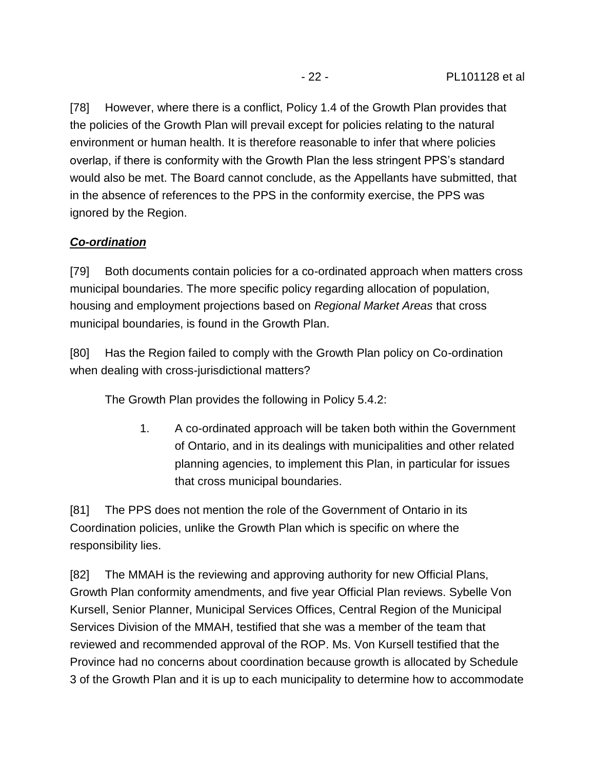[78] However, where there is a conflict, Policy 1.4 of the Growth Plan provides that the policies of the Growth Plan will prevail except for policies relating to the natural environment or human health. It is therefore reasonable to infer that where policies overlap, if there is conformity with the Growth Plan the less stringent PPS's standard would also be met. The Board cannot conclude, as the Appellants have submitted, that in the absence of references to the PPS in the conformity exercise, the PPS was ignored by the Region.

#### *Co-ordination*

[79] Both documents contain policies for a co-ordinated approach when matters cross municipal boundaries. The more specific policy regarding allocation of population, housing and employment projections based on *Regional Market Areas* that cross municipal boundaries, is found in the Growth Plan.

[80] Has the Region failed to comply with the Growth Plan policy on Co-ordination when dealing with cross-jurisdictional matters?

The Growth Plan provides the following in Policy 5.4.2:

1. A co-ordinated approach will be taken both within the Government of Ontario, and in its dealings with municipalities and other related planning agencies, to implement this Plan, in particular for issues that cross municipal boundaries.

[81] The PPS does not mention the role of the Government of Ontario in its Coordination policies, unlike the Growth Plan which is specific on where the responsibility lies.

[82] The MMAH is the reviewing and approving authority for new Official Plans, Growth Plan conformity amendments, and five year Official Plan reviews. Sybelle Von Kursell, Senior Planner, Municipal Services Offices, Central Region of the Municipal Services Division of the MMAH, testified that she was a member of the team that reviewed and recommended approval of the ROP. Ms. Von Kursell testified that the Province had no concerns about coordination because growth is allocated by Schedule 3 of the Growth Plan and it is up to each municipality to determine how to accommodate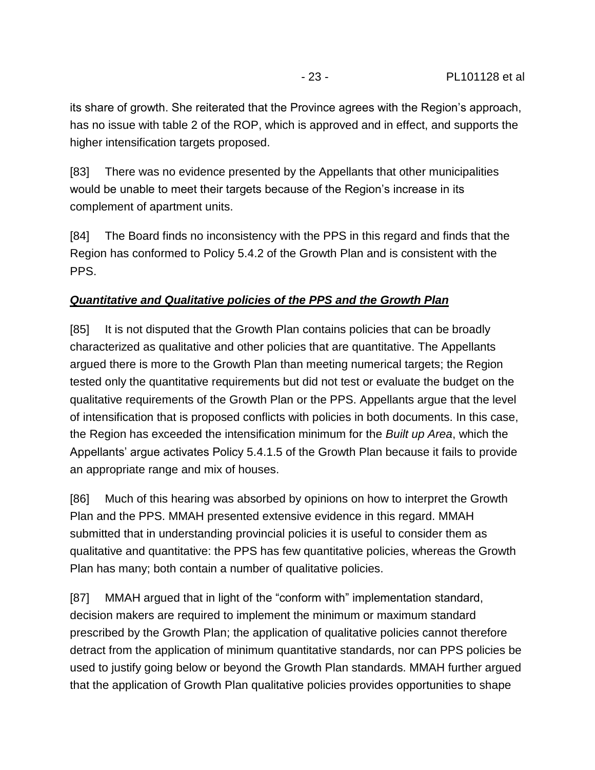its share of growth. She reiterated that the Province agrees with the Region's approach, has no issue with table 2 of the ROP, which is approved and in effect, and supports the higher intensification targets proposed.

[83] There was no evidence presented by the Appellants that other municipalities would be unable to meet their targets because of the Region's increase in its complement of apartment units.

[84] The Board finds no inconsistency with the PPS in this regard and finds that the Region has conformed to Policy 5.4.2 of the Growth Plan and is consistent with the PPS.

## *Quantitative and Qualitative policies of the PPS and the Growth Plan*

[85] It is not disputed that the Growth Plan contains policies that can be broadly characterized as qualitative and other policies that are quantitative. The Appellants argued there is more to the Growth Plan than meeting numerical targets; the Region tested only the quantitative requirements but did not test or evaluate the budget on the qualitative requirements of the Growth Plan or the PPS. Appellants argue that the level of intensification that is proposed conflicts with policies in both documents. In this case, the Region has exceeded the intensification minimum for the *Built up Area*, which the Appellants' argue activates Policy 5.4.1.5 of the Growth Plan because it fails to provide an appropriate range and mix of houses.

[86] Much of this hearing was absorbed by opinions on how to interpret the Growth Plan and the PPS. MMAH presented extensive evidence in this regard. MMAH submitted that in understanding provincial policies it is useful to consider them as qualitative and quantitative: the PPS has few quantitative policies, whereas the Growth Plan has many; both contain a number of qualitative policies.

[87] MMAH argued that in light of the "conform with" implementation standard, decision makers are required to implement the minimum or maximum standard prescribed by the Growth Plan; the application of qualitative policies cannot therefore detract from the application of minimum quantitative standards, nor can PPS policies be used to justify going below or beyond the Growth Plan standards. MMAH further argued that the application of Growth Plan qualitative policies provides opportunities to shape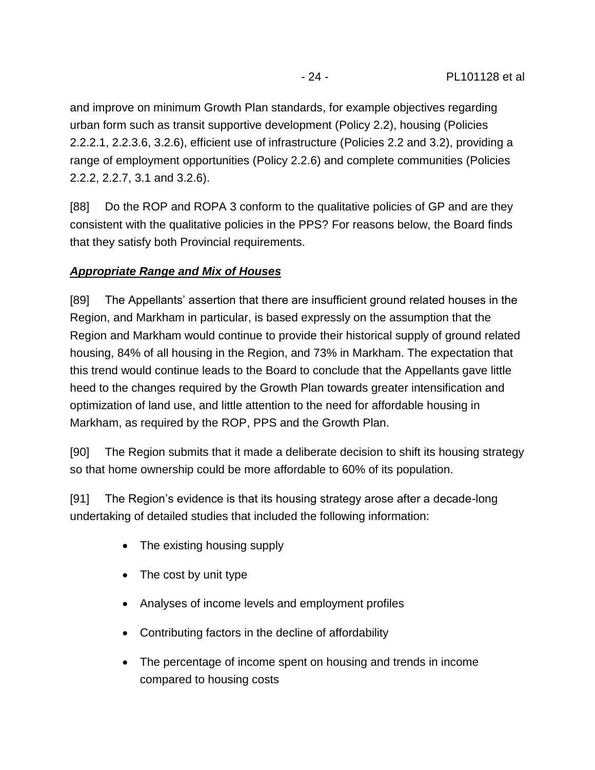and improve on minimum Growth Plan standards, for example objectives regarding urban form such as transit supportive development (Policy 2.2), housing (Policies 2.2.2.1, 2.2.3.6, 3.2.6), efficient use of infrastructure (Policies 2.2 and 3.2), providing a range of employment opportunities (Policy 2.2.6) and complete communities (Policies 2.2.2, 2.2.7, 3.1 and 3.2.6).

[88] Do the ROP and ROPA 3 conform to the qualitative policies of GP and are they consistent with the qualitative policies in the PPS? For reasons below, the Board finds that they satisfy both Provincial requirements.

## *Appropriate Range and Mix of Houses*

[89] The Appellants' assertion that there are insufficient ground related houses in the Region, and Markham in particular, is based expressly on the assumption that the Region and Markham would continue to provide their historical supply of ground related housing, 84% of all housing in the Region, and 73% in Markham. The expectation that this trend would continue leads to the Board to conclude that the Appellants gave little heed to the changes required by the Growth Plan towards greater intensification and optimization of land use, and little attention to the need for affordable housing in Markham, as required by the ROP, PPS and the Growth Plan.

[90] The Region submits that it made a deliberate decision to shift its housing strategy so that home ownership could be more affordable to 60% of its population.

[91] The Region's evidence is that its housing strategy arose after a decade-long undertaking of detailed studies that included the following information:

- The existing housing supply
- The cost by unit type
- Analyses of income levels and employment profiles
- Contributing factors in the decline of affordability
- The percentage of income spent on housing and trends in income compared to housing costs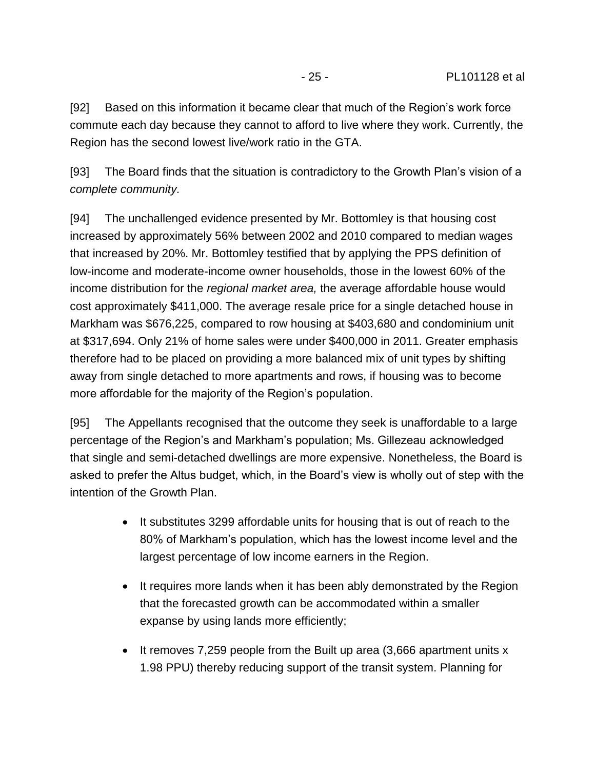[92] Based on this information it became clear that much of the Region's work force commute each day because they cannot to afford to live where they work. Currently, the Region has the second lowest live/work ratio in the GTA.

[93] The Board finds that the situation is contradictory to the Growth Plan's vision of a *complete community.*

[94] The unchallenged evidence presented by Mr. Bottomley is that housing cost increased by approximately 56% between 2002 and 2010 compared to median wages that increased by 20%. Mr. Bottomley testified that by applying the PPS definition of low-income and moderate-income owner households, those in the lowest 60% of the income distribution for the *regional market area,* the average affordable house would cost approximately \$411,000. The average resale price for a single detached house in Markham was \$676,225, compared to row housing at \$403,680 and condominium unit at \$317,694. Only 21% of home sales were under \$400,000 in 2011. Greater emphasis therefore had to be placed on providing a more balanced mix of unit types by shifting away from single detached to more apartments and rows, if housing was to become more affordable for the majority of the Region's population.

[95] The Appellants recognised that the outcome they seek is unaffordable to a large percentage of the Region's and Markham's population; Ms. Gillezeau acknowledged that single and semi-detached dwellings are more expensive. Nonetheless, the Board is asked to prefer the Altus budget, which, in the Board's view is wholly out of step with the intention of the Growth Plan.

- It substitutes 3299 affordable units for housing that is out of reach to the 80% of Markham's population, which has the lowest income level and the largest percentage of low income earners in the Region.
- It requires more lands when it has been ably demonstrated by the Region that the forecasted growth can be accommodated within a smaller expanse by using lands more efficiently;
- $\bullet$  It removes 7,259 people from the Built up area (3,666 apartment units x 1.98 PPU) thereby reducing support of the transit system. Planning for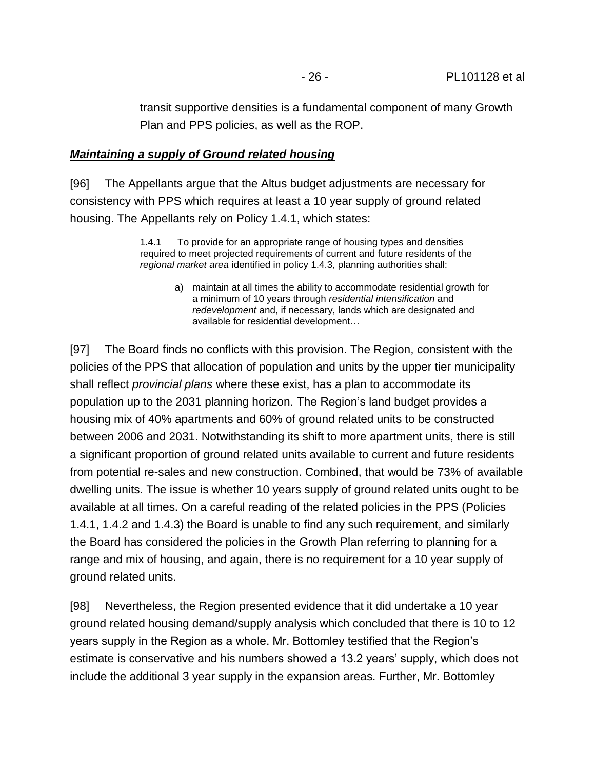transit supportive densities is a fundamental component of many Growth Plan and PPS policies, as well as the ROP.

#### *Maintaining a supply of Ground related housing*

[96] The Appellants argue that the Altus budget adjustments are necessary for consistency with PPS which requires at least a 10 year supply of ground related housing. The Appellants rely on Policy 1.4.1, which states:

> 1.4.1 To provide for an appropriate range of housing types and densities required to meet projected requirements of current and future residents of the *regional market area* identified in policy 1.4.3, planning authorities shall:

> > a) maintain at all times the ability to accommodate residential growth for a minimum of 10 years through *residential intensification* and *redevelopment* and, if necessary, lands which are designated and available for residential development…

[97] The Board finds no conflicts with this provision. The Region, consistent with the policies of the PPS that allocation of population and units by the upper tier municipality shall reflect *provincial plans* where these exist, has a plan to accommodate its population up to the 2031 planning horizon. The Region's land budget provides a housing mix of 40% apartments and 60% of ground related units to be constructed between 2006 and 2031. Notwithstanding its shift to more apartment units, there is still a significant proportion of ground related units available to current and future residents from potential re-sales and new construction. Combined, that would be 73% of available dwelling units. The issue is whether 10 years supply of ground related units ought to be available at all times. On a careful reading of the related policies in the PPS (Policies 1.4.1, 1.4.2 and 1.4.3) the Board is unable to find any such requirement, and similarly the Board has considered the policies in the Growth Plan referring to planning for a range and mix of housing, and again, there is no requirement for a 10 year supply of ground related units.

[98] Nevertheless, the Region presented evidence that it did undertake a 10 year ground related housing demand/supply analysis which concluded that there is 10 to 12 years supply in the Region as a whole. Mr. Bottomley testified that the Region's estimate is conservative and his numbers showed a 13.2 years' supply, which does not include the additional 3 year supply in the expansion areas. Further, Mr. Bottomley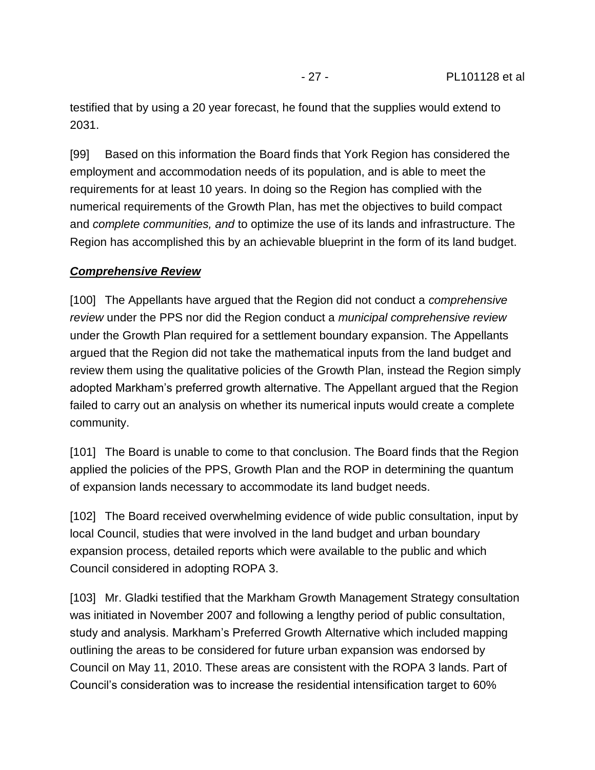testified that by using a 20 year forecast, he found that the supplies would extend to 2031.

[99] Based on this information the Board finds that York Region has considered the employment and accommodation needs of its population, and is able to meet the requirements for at least 10 years. In doing so the Region has complied with the numerical requirements of the Growth Plan, has met the objectives to build compact and *complete communities, and* to optimize the use of its lands and infrastructure. The Region has accomplished this by an achievable blueprint in the form of its land budget.

#### *Comprehensive Review*

[100] The Appellants have argued that the Region did not conduct a *comprehensive review* under the PPS nor did the Region conduct a *municipal comprehensive review* under the Growth Plan required for a settlement boundary expansion. The Appellants argued that the Region did not take the mathematical inputs from the land budget and review them using the qualitative policies of the Growth Plan, instead the Region simply adopted Markham's preferred growth alternative. The Appellant argued that the Region failed to carry out an analysis on whether its numerical inputs would create a complete community.

[101] The Board is unable to come to that conclusion. The Board finds that the Region applied the policies of the PPS, Growth Plan and the ROP in determining the quantum of expansion lands necessary to accommodate its land budget needs.

[102] The Board received overwhelming evidence of wide public consultation, input by local Council, studies that were involved in the land budget and urban boundary expansion process, detailed reports which were available to the public and which Council considered in adopting ROPA 3.

[103] Mr. Gladki testified that the Markham Growth Management Strategy consultation was initiated in November 2007 and following a lengthy period of public consultation, study and analysis. Markham's Preferred Growth Alternative which included mapping outlining the areas to be considered for future urban expansion was endorsed by Council on May 11, 2010. These areas are consistent with the ROPA 3 lands. Part of Council's consideration was to increase the residential intensification target to 60%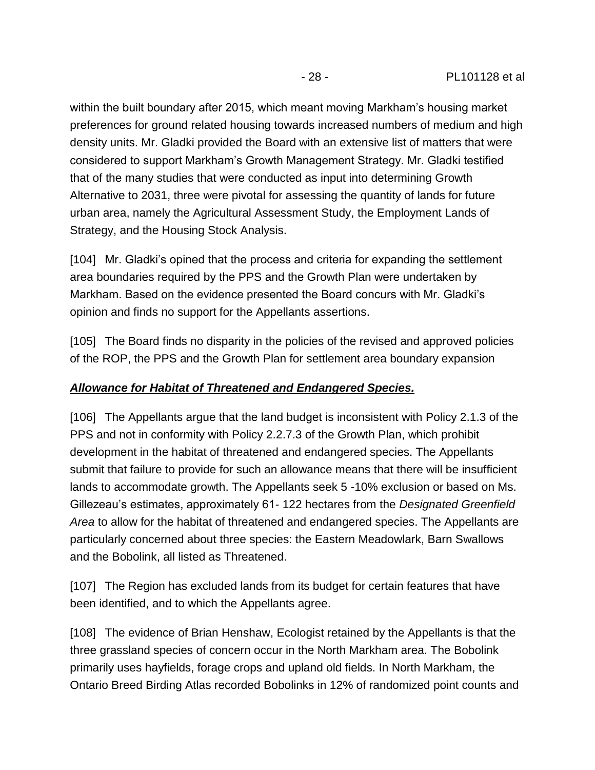within the built boundary after 2015, which meant moving Markham's housing market preferences for ground related housing towards increased numbers of medium and high density units. Mr. Gladki provided the Board with an extensive list of matters that were considered to support Markham's Growth Management Strategy. Mr. Gladki testified that of the many studies that were conducted as input into determining Growth Alternative to 2031, three were pivotal for assessing the quantity of lands for future urban area, namely the Agricultural Assessment Study, the Employment Lands of Strategy, and the Housing Stock Analysis.

[104] Mr. Gladki's opined that the process and criteria for expanding the settlement area boundaries required by the PPS and the Growth Plan were undertaken by Markham. Based on the evidence presented the Board concurs with Mr. Gladki's opinion and finds no support for the Appellants assertions.

[105] The Board finds no disparity in the policies of the revised and approved policies of the ROP, the PPS and the Growth Plan for settlement area boundary expansion

#### *Allowance for Habitat of Threatened and Endangered Species.*

[106] The Appellants argue that the land budget is inconsistent with Policy 2.1.3 of the PPS and not in conformity with Policy 2.2.7.3 of the Growth Plan, which prohibit development in the habitat of threatened and endangered species. The Appellants submit that failure to provide for such an allowance means that there will be insufficient lands to accommodate growth. The Appellants seek 5 -10% exclusion or based on Ms. Gillezeau's estimates, approximately 61- 122 hectares from the *Designated Greenfield Area* to allow for the habitat of threatened and endangered species. The Appellants are particularly concerned about three species: the Eastern Meadowlark, Barn Swallows and the Bobolink, all listed as Threatened.

[107] The Region has excluded lands from its budget for certain features that have been identified, and to which the Appellants agree.

[108] The evidence of Brian Henshaw, Ecologist retained by the Appellants is that the three grassland species of concern occur in the North Markham area. The Bobolink primarily uses hayfields, forage crops and upland old fields. In North Markham, the Ontario Breed Birding Atlas recorded Bobolinks in 12% of randomized point counts and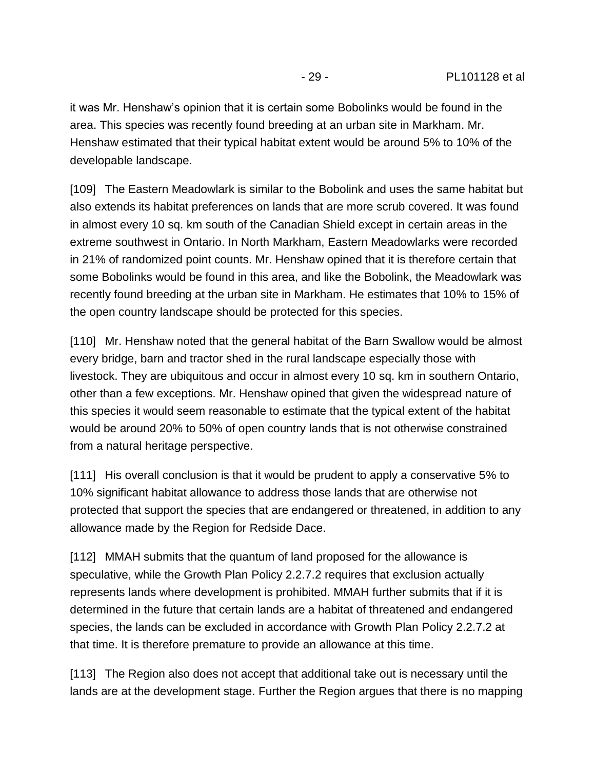it was Mr. Henshaw's opinion that it is certain some Bobolinks would be found in the area. This species was recently found breeding at an urban site in Markham. Mr. Henshaw estimated that their typical habitat extent would be around 5% to 10% of the developable landscape.

[109] The Eastern Meadowlark is similar to the Bobolink and uses the same habitat but also extends its habitat preferences on lands that are more scrub covered. It was found in almost every 10 sq. km south of the Canadian Shield except in certain areas in the extreme southwest in Ontario. In North Markham, Eastern Meadowlarks were recorded in 21% of randomized point counts. Mr. Henshaw opined that it is therefore certain that some Bobolinks would be found in this area, and like the Bobolink, the Meadowlark was recently found breeding at the urban site in Markham. He estimates that 10% to 15% of the open country landscape should be protected for this species.

[110] Mr. Henshaw noted that the general habitat of the Barn Swallow would be almost every bridge, barn and tractor shed in the rural landscape especially those with livestock. They are ubiquitous and occur in almost every 10 sq. km in southern Ontario, other than a few exceptions. Mr. Henshaw opined that given the widespread nature of this species it would seem reasonable to estimate that the typical extent of the habitat would be around 20% to 50% of open country lands that is not otherwise constrained from a natural heritage perspective.

[111] His overall conclusion is that it would be prudent to apply a conservative 5% to 10% significant habitat allowance to address those lands that are otherwise not protected that support the species that are endangered or threatened, in addition to any allowance made by the Region for Redside Dace.

[112] MMAH submits that the quantum of land proposed for the allowance is speculative, while the Growth Plan Policy 2.2.7.2 requires that exclusion actually represents lands where development is prohibited. MMAH further submits that if it is determined in the future that certain lands are a habitat of threatened and endangered species, the lands can be excluded in accordance with Growth Plan Policy 2.2.7.2 at that time. It is therefore premature to provide an allowance at this time.

[113] The Region also does not accept that additional take out is necessary until the lands are at the development stage. Further the Region argues that there is no mapping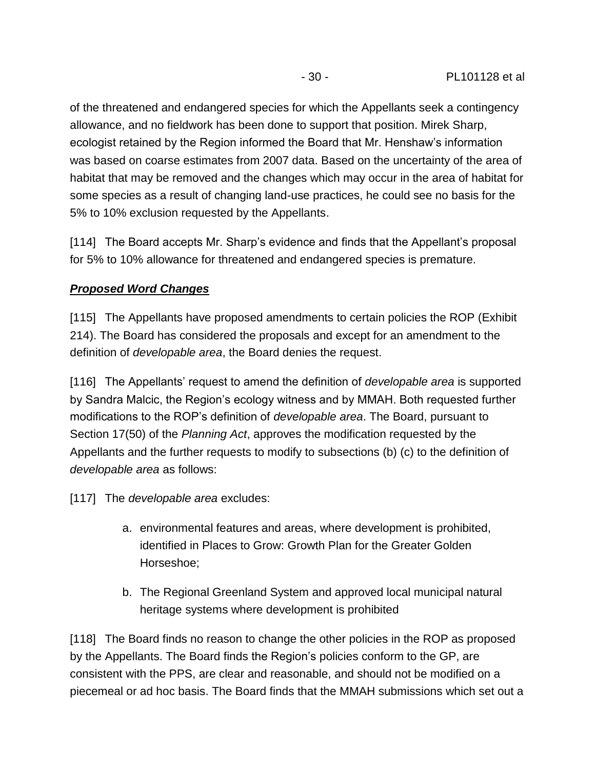of the threatened and endangered species for which the Appellants seek a contingency allowance, and no fieldwork has been done to support that position. Mirek Sharp, ecologist retained by the Region informed the Board that Mr. Henshaw's information was based on coarse estimates from 2007 data. Based on the uncertainty of the area of habitat that may be removed and the changes which may occur in the area of habitat for some species as a result of changing land-use practices, he could see no basis for the 5% to 10% exclusion requested by the Appellants.

[114] The Board accepts Mr. Sharp's evidence and finds that the Appellant's proposal for 5% to 10% allowance for threatened and endangered species is premature.

## *Proposed Word Changes*

[115] The Appellants have proposed amendments to certain policies the ROP (Exhibit 214). The Board has considered the proposals and except for an amendment to the definition of *developable area*, the Board denies the request.

[116] The Appellants' request to amend the definition of *developable area* is supported by Sandra Malcic, the Region's ecology witness and by MMAH. Both requested further modifications to the ROP's definition of *developable area*. The Board, pursuant to Section 17(50) of the *Planning Act*, approves the modification requested by the Appellants and the further requests to modify to subsections (b) (c) to the definition of *developable area* as follows:

[117] The *developable area* excludes:

- a. environmental features and areas, where development is prohibited, identified in Places to Grow: Growth Plan for the Greater Golden Horseshoe;
- b. The Regional Greenland System and approved local municipal natural heritage systems where development is prohibited

[118] The Board finds no reason to change the other policies in the ROP as proposed by the Appellants. The Board finds the Region's policies conform to the GP, are consistent with the PPS, are clear and reasonable, and should not be modified on a piecemeal or ad hoc basis. The Board finds that the MMAH submissions which set out a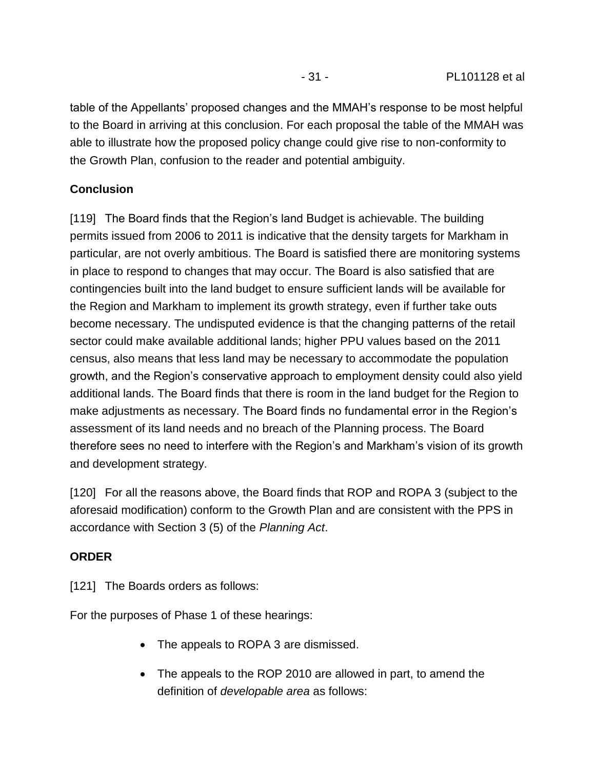table of the Appellants' proposed changes and the MMAH's response to be most helpful to the Board in arriving at this conclusion. For each proposal the table of the MMAH was able to illustrate how the proposed policy change could give rise to non-conformity to the Growth Plan, confusion to the reader and potential ambiguity.

#### **Conclusion**

[119] The Board finds that the Region's land Budget is achievable. The building permits issued from 2006 to 2011 is indicative that the density targets for Markham in particular, are not overly ambitious. The Board is satisfied there are monitoring systems in place to respond to changes that may occur. The Board is also satisfied that are contingencies built into the land budget to ensure sufficient lands will be available for the Region and Markham to implement its growth strategy, even if further take outs become necessary. The undisputed evidence is that the changing patterns of the retail sector could make available additional lands; higher PPU values based on the 2011 census, also means that less land may be necessary to accommodate the population growth, and the Region's conservative approach to employment density could also yield additional lands. The Board finds that there is room in the land budget for the Region to make adjustments as necessary. The Board finds no fundamental error in the Region's assessment of its land needs and no breach of the Planning process. The Board therefore sees no need to interfere with the Region's and Markham's vision of its growth and development strategy.

[120] For all the reasons above, the Board finds that ROP and ROPA 3 (subject to the aforesaid modification) conform to the Growth Plan and are consistent with the PPS in accordance with Section 3 (5) of the *Planning Act*.

#### **ORDER**

[121] The Boards orders as follows:

For the purposes of Phase 1 of these hearings:

- The appeals to ROPA 3 are dismissed.
- The appeals to the ROP 2010 are allowed in part, to amend the definition of *developable area* as follows: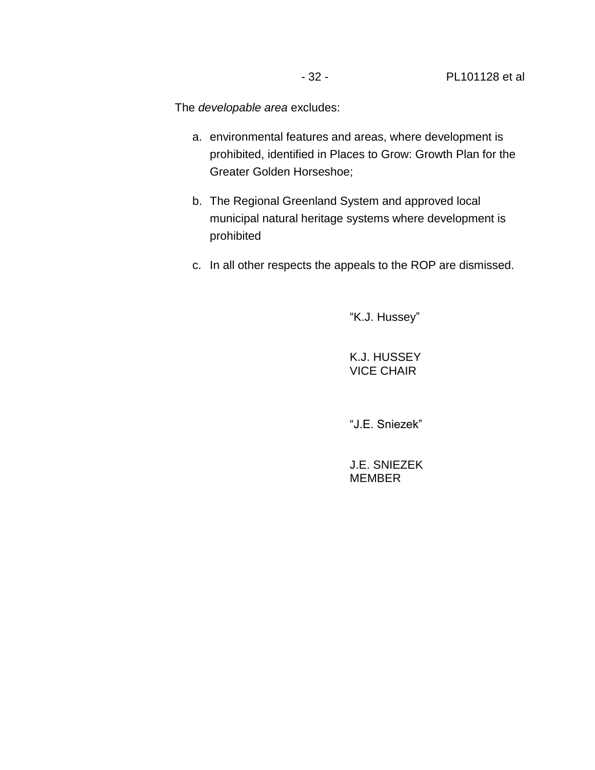The *developable area* excludes:

- a. environmental features and areas, where development is prohibited, identified in Places to Grow: Growth Plan for the Greater Golden Horseshoe;
- b. The Regional Greenland System and approved local municipal natural heritage systems where development is prohibited
- c. In all other respects the appeals to the ROP are dismissed.

"K.J. Hussey"

K.J. HUSSEY VICE CHAIR

"J.E. Sniezek"

J.E. SNIEZEK MEMBER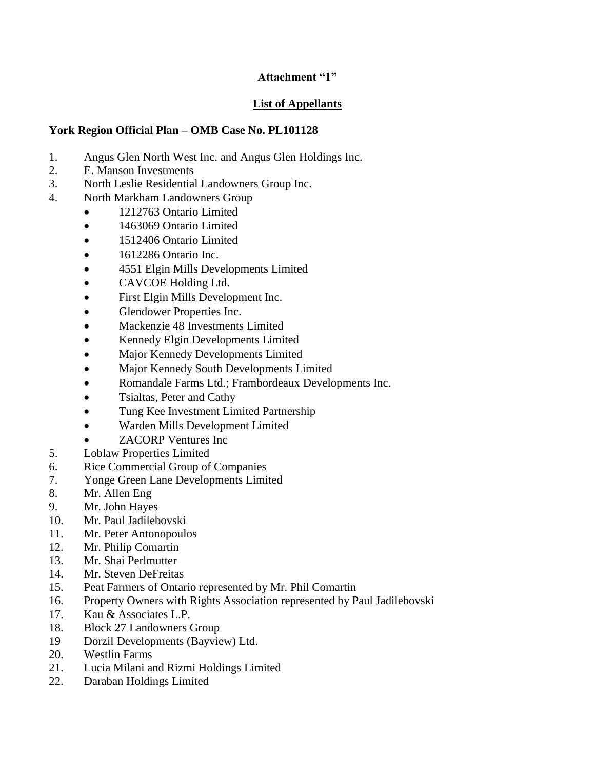#### **Attachment "1"**

#### **List of Appellants**

#### **York Region Official Plan – OMB Case No. PL101128**

- 1. Angus Glen North West Inc. and Angus Glen Holdings Inc.
- 2. E. Manson Investments
- 3. North Leslie Residential Landowners Group Inc.
- 4. North Markham Landowners Group
	- 1212763 Ontario Limited
	- 1463069 Ontario Limited
	- 1512406 Ontario Limited
	- $\bullet$  1612286 Ontario Inc.
	- 4551 Elgin Mills Developments Limited
	- CAVCOE Holding Ltd.
	- First Elgin Mills Development Inc.
	- Glendower Properties Inc.
	- Mackenzie 48 Investments Limited
	- Kennedy Elgin Developments Limited
	- Major Kennedy Developments Limited
	- Major Kennedy South Developments Limited
	- Romandale Farms Ltd.; Frambordeaux Developments Inc.
	- Tsialtas, Peter and Cathy
	- Tung Kee Investment Limited Partnership
	- Warden Mills Development Limited
	- ZACORP Ventures Inc
- 5. Loblaw Properties Limited
- 6. Rice Commercial Group of Companies
- 7. Yonge Green Lane Developments Limited
- 8. Mr. Allen Eng
- 9. Mr. John Hayes
- 10. Mr. Paul Jadilebovski
- 11. Mr. Peter Antonopoulos
- 12. Mr. Philip Comartin
- 13. Mr. Shai Perlmutter
- 14. Mr. Steven DeFreitas
- 15. Peat Farmers of Ontario represented by Mr. Phil Comartin
- 16. Property Owners with Rights Association represented by Paul Jadilebovski
- 17. Kau & Associates L.P.
- 18. Block 27 Landowners Group
- 19 Dorzil Developments (Bayview) Ltd.
- 20. Westlin Farms
- 21. Lucia Milani and Rizmi Holdings Limited
- 22. Daraban Holdings Limited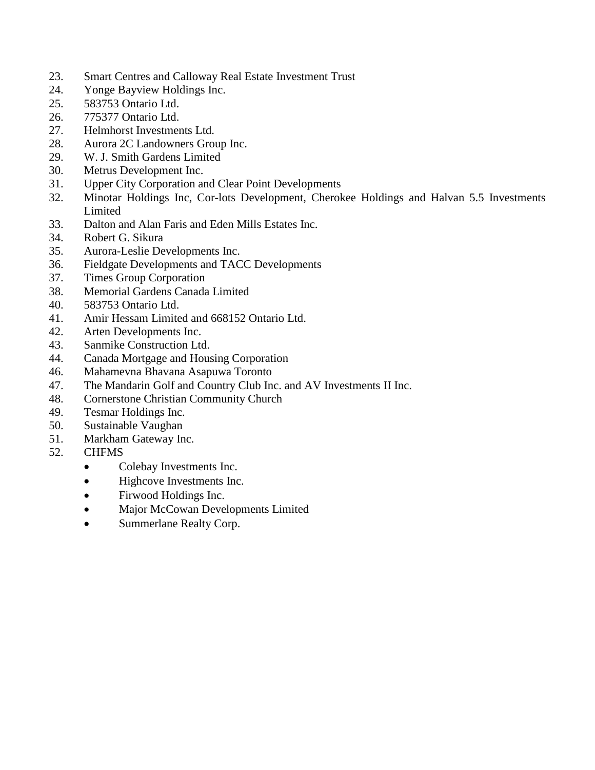- 23. Smart Centres and Calloway Real Estate Investment Trust
- 24. Yonge Bayview Holdings Inc.
- 25. 583753 Ontario Ltd.
- 26. 775377 Ontario Ltd.
- 27. Helmhorst Investments Ltd.
- 28. Aurora 2C Landowners Group Inc.
- 29. W. J. Smith Gardens Limited
- 30. Metrus Development Inc.
- 31. Upper City Corporation and Clear Point Developments
- 32. Minotar Holdings Inc, Cor-lots Development, Cherokee Holdings and Halvan 5.5 Investments Limited
- 33. Dalton and Alan Faris and Eden Mills Estates Inc.
- 34. Robert G. Sikura
- 35. Aurora-Leslie Developments Inc.
- 36. Fieldgate Developments and TACC Developments
- 37. Times Group Corporation
- 38. Memorial Gardens Canada Limited
- 40. 583753 Ontario Ltd.
- 41. Amir Hessam Limited and 668152 Ontario Ltd.
- 42. Arten Developments Inc.
- 43. Sanmike Construction Ltd.
- 44. Canada Mortgage and Housing Corporation
- 46. Mahamevna Bhavana Asapuwa Toronto
- 47. The Mandarin Golf and Country Club Inc. and AV Investments II Inc.
- 48. Cornerstone Christian Community Church
- 49. Tesmar Holdings Inc.
- 50. Sustainable Vaughan
- 51. Markham Gateway Inc.
- 52. CHFMS
	- Colebay Investments Inc.
	- Highcove Investments Inc.
	- Firwood Holdings Inc.
	- Major McCowan Developments Limited
	- Summerlane Realty Corp.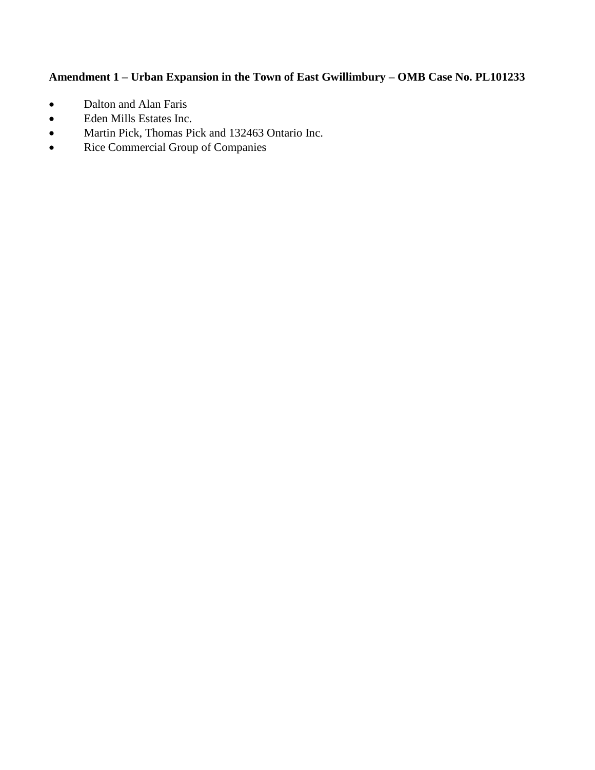## **Amendment 1 – Urban Expansion in the Town of East Gwillimbury – OMB Case No. PL101233**

- Dalton and Alan Faris
- Eden Mills Estates Inc.
- Martin Pick, Thomas Pick and 132463 Ontario Inc.
- Rice Commercial Group of Companies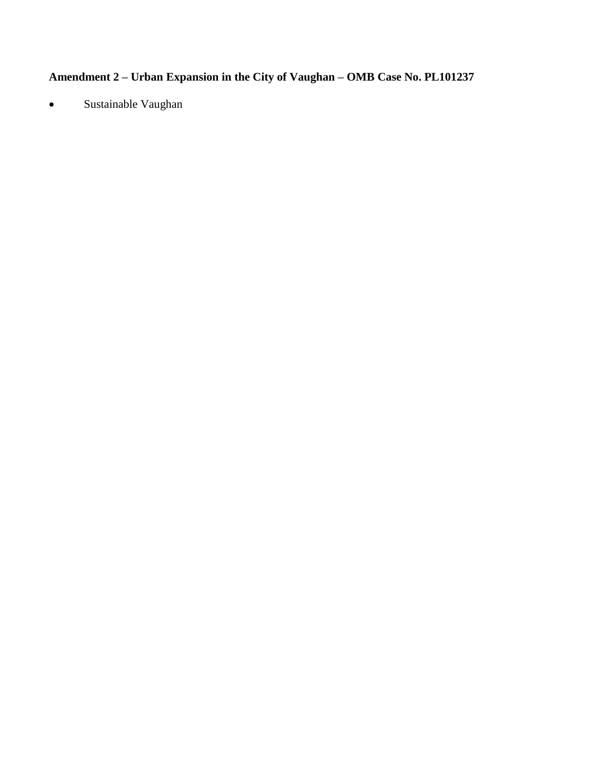# **Amendment 2 – Urban Expansion in the City of Vaughan – OMB Case No. PL101237**

Sustainable Vaughan